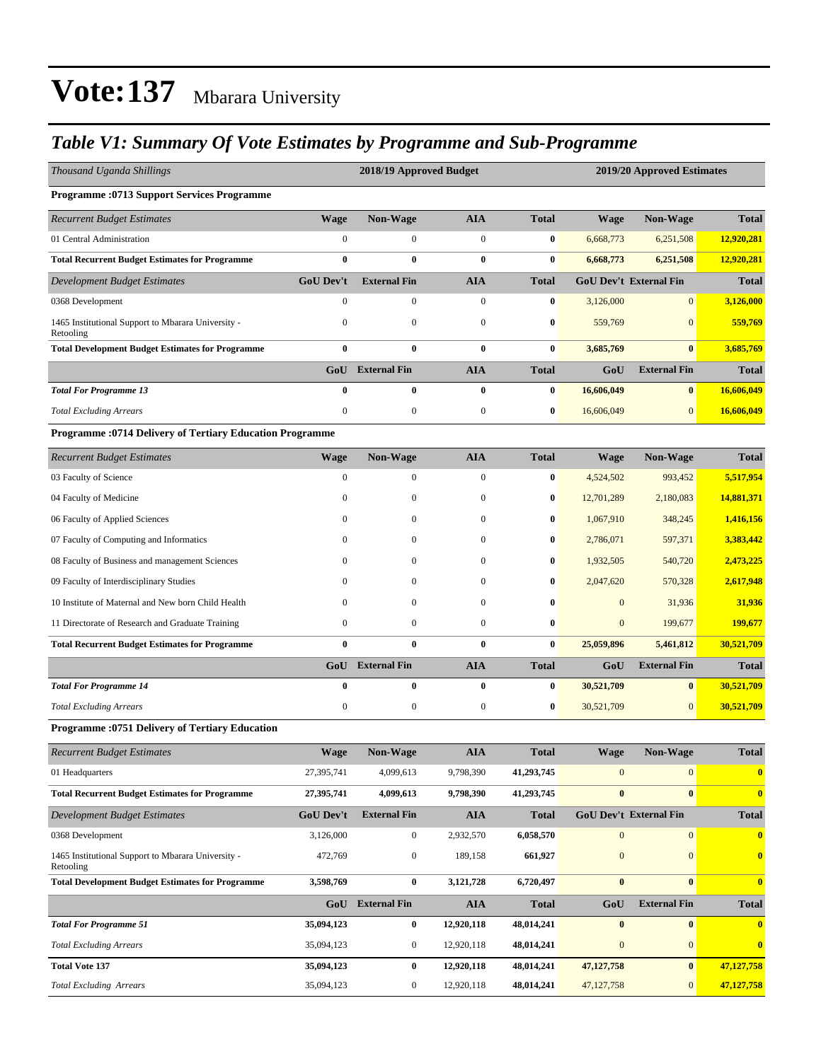#### *Table V1: Summary Of Vote Estimates by Programme and Sub-Programme*

| Thousand Uganda Shillings                                       |                  | 2018/19 Approved Budget |                  |              | 2019/20 Approved Estimates |                               |              |
|-----------------------------------------------------------------|------------------|-------------------------|------------------|--------------|----------------------------|-------------------------------|--------------|
| <b>Programme: 0713 Support Services Programme</b>               |                  |                         |                  |              |                            |                               |              |
| <b>Recurrent Budget Estimates</b>                               | <b>Wage</b>      | Non-Wage                | <b>AIA</b>       | <b>Total</b> | <b>Wage</b>                | Non-Wage                      | <b>Total</b> |
| 01 Central Administration                                       | $\boldsymbol{0}$ | $\boldsymbol{0}$        | $\boldsymbol{0}$ | $\bf{0}$     | 6,668,773                  | 6,251,508                     | 12,920,281   |
| <b>Total Recurrent Budget Estimates for Programme</b>           | $\bf{0}$         | $\bf{0}$                | $\bf{0}$         | $\bf{0}$     | 6,668,773                  | 6,251,508                     | 12,920,281   |
| Development Budget Estimates                                    | <b>GoU Dev't</b> | <b>External Fin</b>     | <b>AIA</b>       | <b>Total</b> |                            | <b>GoU Dev't External Fin</b> | <b>Total</b> |
| 0368 Development                                                | $\mathbf{0}$     | $\boldsymbol{0}$        | $\mathbf{0}$     | $\bf{0}$     | 3,126,000                  | $\mathbf{0}$                  | 3,126,000    |
| 1465 Institutional Support to Mbarara University -<br>Retooling | $\boldsymbol{0}$ | $\boldsymbol{0}$        | $\mathbf{0}$     | $\bf{0}$     | 559,769                    | $\mathbf{0}$                  | 559,769      |
| <b>Total Development Budget Estimates for Programme</b>         | $\bf{0}$         | $\bf{0}$                | $\bf{0}$         | $\bf{0}$     | 3,685,769                  | $\bf{0}$                      | 3,685,769    |
|                                                                 | GoU              | <b>External Fin</b>     | <b>AIA</b>       | <b>Total</b> | GoU                        | <b>External Fin</b>           | <b>Total</b> |
| <b>Total For Programme 13</b>                                   | $\bf{0}$         | 0                       | $\bf{0}$         | $\bf{0}$     | 16,606,049                 | $\bf{0}$                      | 16,606,049   |
| <b>Total Excluding Arrears</b>                                  | $\boldsymbol{0}$ | $\boldsymbol{0}$        | $\boldsymbol{0}$ | $\bf{0}$     | 16,606,049                 | $\mathbf{0}$                  | 16,606,049   |
| Programme : 0714 Delivery of Tertiary Education Programme       |                  |                         |                  |              |                            |                               |              |
| <b>Recurrent Budget Estimates</b>                               | <b>Wage</b>      | Non-Wage                | <b>AIA</b>       | <b>Total</b> | <b>Wage</b>                | Non-Wage                      | <b>Total</b> |
| 03 Faculty of Science                                           | $\boldsymbol{0}$ | 0                       | $\mathbf{0}$     | $\bf{0}$     | 4,524,502                  | 993,452                       | 5,517,954    |
| 04 Faculty of Medicine                                          | $\mathbf{0}$     | $\mathbf{0}$            | $\boldsymbol{0}$ | $\bf{0}$     | 12,701,289                 | 2,180,083                     | 14,881,371   |
| 06 Faculty of Applied Sciences                                  | $\mathbf{0}$     | 0                       | $\bf{0}$         | $\bf{0}$     | 1,067,910                  | 348,245                       | 1,416,156    |
| 07 Faculty of Computing and Informatics                         | 0                | 0                       | $\mathbf{0}$     | $\bf{0}$     | 2,786,071                  | 597,371                       | 3,383,442    |
| 08 Faculty of Business and management Sciences                  | 0                | 0                       | $\mathbf{0}$     | $\bf{0}$     | 1,932,505                  | 540,720                       | 2,473,225    |
| 09 Faculty of Interdisciplinary Studies                         | $\mathbf{0}$     | $\mathbf{0}$            | $\mathbf{0}$     | $\bf{0}$     | 2,047,620                  | 570,328                       | 2,617,948    |
| 10 Institute of Maternal and New born Child Health              | 0                | $\mathbf{0}$            | $\mathbf{0}$     | $\bf{0}$     | $\mathbf{0}$               | 31,936                        | 31,936       |
| 11 Directorate of Research and Graduate Training                | 0                | $\boldsymbol{0}$        | $\boldsymbol{0}$ | $\bf{0}$     | $\boldsymbol{0}$           | 199,677                       | 199,677      |
| <b>Total Recurrent Budget Estimates for Programme</b>           | $\bf{0}$         | 0                       | $\bf{0}$         | $\bf{0}$     | 25,059,896                 | 5,461,812                     | 30,521,709   |
|                                                                 | GoU              | <b>External Fin</b>     | <b>AIA</b>       | <b>Total</b> | GoU                        | <b>External Fin</b>           | <b>Total</b> |
| <b>Total For Programme 14</b>                                   | $\bf{0}$         | 0                       | $\bf{0}$         | $\bf{0}$     | 30,521,709                 | $\bf{0}$                      | 30,521,709   |
| <b>Total Excluding Arrears</b>                                  | $\boldsymbol{0}$ | $\boldsymbol{0}$        | $\boldsymbol{0}$ | $\bf{0}$     | 30,521,709                 | $\mathbf{0}$                  | 30,521,709   |
| Programme : 0751 Delivery of Tertiary Education                 |                  |                         |                  |              |                            |                               |              |
| <b>Recurrent Budget Estimates</b>                               | <b>Wage</b>      | <b>Non-Wage</b>         | <b>AIA</b>       | <b>Total</b> | <b>Wage</b>                | <b>Non-Wage</b>               | <b>Total</b> |
| 01 Headquarters                                                 | 27,395,741       | 4,099,613               | 9,798,390        | 41,293,745   | $\mathbf{0}$               | $\mathbf{0}$                  | $\bf{0}$     |
| <b>Total Recurrent Budget Estimates for Programme</b>           | 27,395,741       | 4,099,613               | 9,798,390        | 41,293,745   | $\bf{0}$                   | $\bf{0}$                      | $\bf{0}$     |
| <b>Development Budget Estimates</b>                             | <b>GoU Dev't</b> | <b>External Fin</b>     | <b>AIA</b>       | <b>Total</b> |                            | <b>GoU Dev't External Fin</b> | <b>Total</b> |
| 0368 Development                                                | 3,126,000        | $\boldsymbol{0}$        | 2,932,570        | 6,058,570    | $\boldsymbol{0}$           | $\mathbf{0}$                  | $\bf{0}$     |
| 1465 Institutional Support to Mbarara University -<br>Retooling | 472,769          | $\boldsymbol{0}$        | 189,158          | 661,927      | $\boldsymbol{0}$           | $\mathbf{0}$                  | $\bf{0}$     |
| <b>Total Development Budget Estimates for Programme</b>         | 3,598,769        | $\bf{0}$                | 3,121,728        | 6,720,497    | $\bf{0}$                   | $\bf{0}$                      | $\bf{0}$     |
|                                                                 |                  | GoU External Fin        | <b>AIA</b>       | <b>Total</b> | GoU                        | <b>External Fin</b>           | <b>Total</b> |
| <b>Total For Programme 51</b>                                   | 35,094,123       | $\bf{0}$                | 12,920,118       | 48,014,241   | $\bf{0}$                   | $\bf{0}$                      | $\bf{0}$     |
| <b>Total Excluding Arrears</b>                                  | 35,094,123       | 0                       | 12,920,118       | 48,014,241   | $\boldsymbol{0}$           | $\mathbf{0}$                  | $\bf{0}$     |
| <b>Total Vote 137</b>                                           | 35,094,123       | $\bf{0}$                | 12,920,118       | 48,014,241   | 47,127,758                 | $\bf{0}$                      | 47,127,758   |
| <b>Total Excluding Arrears</b>                                  | 35,094,123       | 0                       | 12,920,118       | 48,014,241   | 47, 127, 758               | $\overline{0}$                | 47,127,758   |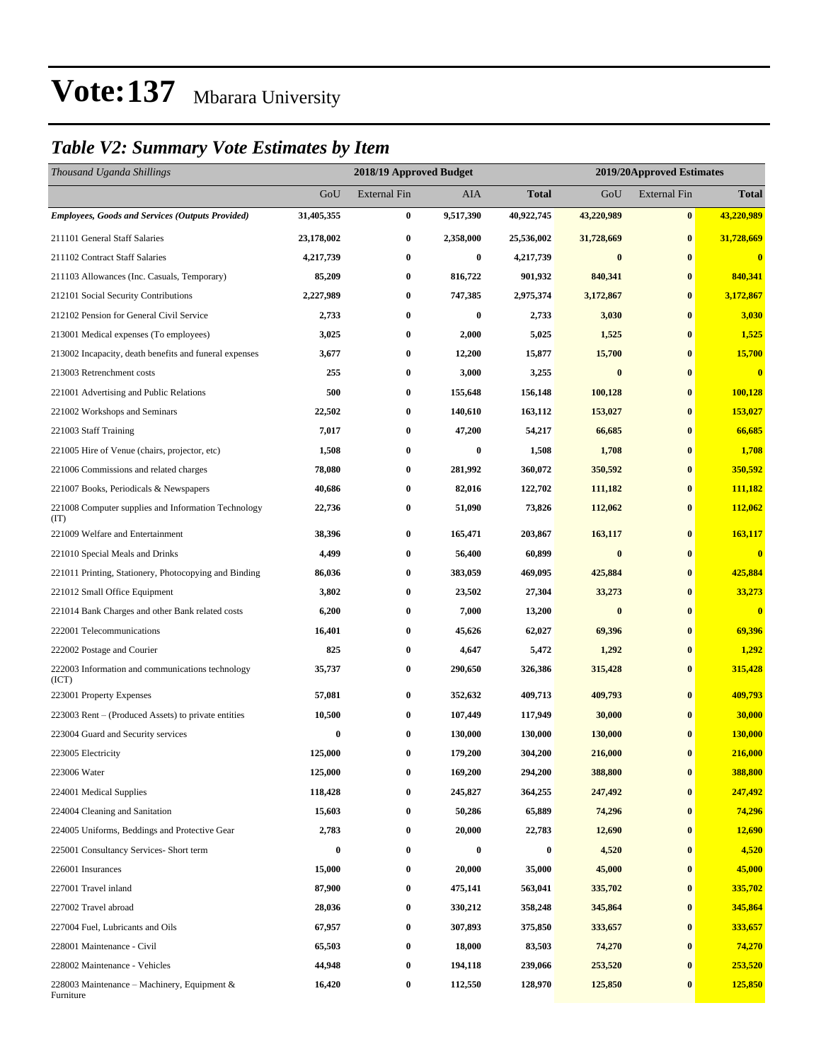#### *Table V2: Summary Vote Estimates by Item*

| Thousand Uganda Shillings                                   |            | 2018/19 Approved Budget |           |                  | 2019/20Approved Estimates |                     |              |
|-------------------------------------------------------------|------------|-------------------------|-----------|------------------|---------------------------|---------------------|--------------|
|                                                             | GoU        | <b>External Fin</b>     | AIA       | Total            | GoU                       | <b>External Fin</b> | <b>Total</b> |
| <b>Employees, Goods and Services (Outputs Provided)</b>     | 31,405,355 | $\bf{0}$                | 9,517,390 | 40,922,745       | 43,220,989                | $\bf{0}$            | 43,220,989   |
| 211101 General Staff Salaries                               | 23,178,002 | $\bf{0}$                | 2,358,000 | 25,536,002       | 31,728,669                | $\bf{0}$            | 31,728,669   |
| 211102 Contract Staff Salaries                              | 4,217,739  | $\boldsymbol{0}$        | $\bf{0}$  | 4,217,739        | $\bf{0}$                  | $\bf{0}$            | $\bf{0}$     |
| 211103 Allowances (Inc. Casuals, Temporary)                 | 85,209     | $\bf{0}$                | 816,722   | 901,932          | 840,341                   | $\bf{0}$            | 840,341      |
| 212101 Social Security Contributions                        | 2,227,989  | $\bf{0}$                | 747,385   | 2,975,374        | 3,172,867                 | $\bf{0}$            | 3,172,867    |
| 212102 Pension for General Civil Service                    | 2,733      | $\bf{0}$                | $\bf{0}$  | 2,733            | 3,030                     | $\bf{0}$            | 3,030        |
| 213001 Medical expenses (To employees)                      | 3,025      | $\bf{0}$                | 2,000     | 5,025            | 1,525                     | $\bf{0}$            | 1,525        |
| 213002 Incapacity, death benefits and funeral expenses      | 3,677      | $\bf{0}$                | 12,200    | 15,877           | 15,700                    | $\bf{0}$            | 15,700       |
| 213003 Retrenchment costs                                   | 255        | $\bf{0}$                | 3,000     | 3,255            | $\bf{0}$                  | $\bf{0}$            | $\bf{0}$     |
| 221001 Advertising and Public Relations                     | 500        | $\bf{0}$                | 155,648   | 156,148          | 100,128                   | $\bf{0}$            | 100,128      |
| 221002 Workshops and Seminars                               | 22,502     | $\bf{0}$                | 140,610   | 163,112          | 153,027                   | $\bf{0}$            | 153,027      |
| 221003 Staff Training                                       | 7,017      | $\bf{0}$                | 47,200    | 54,217           | 66,685                    | $\bf{0}$            | 66,685       |
| 221005 Hire of Venue (chairs, projector, etc)               | 1,508      | $\bf{0}$                | $\bf{0}$  | 1,508            | 1,708                     | $\bf{0}$            | 1,708        |
| 221006 Commissions and related charges                      | 78,080     | $\boldsymbol{0}$        | 281,992   | 360,072          | 350,592                   | $\bf{0}$            | 350,592      |
| 221007 Books, Periodicals & Newspapers                      | 40,686     | $\bf{0}$                | 82,016    | 122,702          | 111,182                   | $\bf{0}$            | 111,182      |
| 221008 Computer supplies and Information Technology<br>(TT) | 22,736     | $\bf{0}$                | 51,090    | 73,826           | 112,062                   | $\bf{0}$            | 112,062      |
| 221009 Welfare and Entertainment                            | 38,396     | $\bf{0}$                | 165,471   | 203,867          | 163,117                   | $\bf{0}$            | 163,117      |
| 221010 Special Meals and Drinks                             | 4,499      | $\bf{0}$                | 56,400    | 60,899           | $\bf{0}$                  | $\bf{0}$            | $\bf{0}$     |
| 221011 Printing, Stationery, Photocopying and Binding       | 86,036     | $\bf{0}$                | 383,059   | 469,095          | 425,884                   | $\bf{0}$            | 425,884      |
| 221012 Small Office Equipment                               | 3,802      | $\bf{0}$                | 23,502    | 27,304           | 33,273                    | $\bf{0}$            | 33,273       |
| 221014 Bank Charges and other Bank related costs            | 6,200      | $\bf{0}$                | 7,000     | 13,200           | $\bf{0}$                  | $\bf{0}$            | $\bf{0}$     |
| 222001 Telecommunications                                   | 16,401     | $\bf{0}$                | 45,626    | 62,027           | 69,396                    | $\bf{0}$            | 69,396       |
| 222002 Postage and Courier                                  | 825        | $\bf{0}$                | 4,647     | 5,472            | 1,292                     | $\bf{0}$            | 1,292        |
| 222003 Information and communications technology<br>(ICT)   | 35,737     | $\bf{0}$                | 290,650   | 326,386          | 315,428                   | $\bf{0}$            | 315,428      |
| 223001 Property Expenses                                    | 57,081     | $\bf{0}$                | 352,632   | 409,713          | 409,793                   | $\bf{0}$            | 409,793      |
| 223003 Rent – (Produced Assets) to private entities         | 10,500     | $\bf{0}$                | 107,449   | 117,949          | 30,000                    | $\bf{0}$            | 30,000       |
| 223004 Guard and Security services                          | 0          | $\bf{0}$                | 130,000   | 130,000          | 130,000                   | $\bf{0}$            | 130,000      |
| 223005 Electricity                                          | 125,000    | $\bf{0}$                | 179,200   | 304,200          | 216,000                   | $\bf{0}$            | 216,000      |
| 223006 Water                                                | 125,000    | $\boldsymbol{0}$        | 169,200   | 294,200          | 388,800                   | $\bf{0}$            | 388,800      |
| 224001 Medical Supplies                                     | 118,428    | $\boldsymbol{0}$        | 245,827   | 364,255          | 247,492                   | $\bf{0}$            | 247,492      |
| 224004 Cleaning and Sanitation                              | 15,603     | $\bf{0}$                | 50,286    | 65,889           | 74,296                    | $\bf{0}$            | 74,296       |
| 224005 Uniforms, Beddings and Protective Gear               | 2,783      | $\boldsymbol{0}$        | 20,000    | 22,783           | 12,690                    | $\bf{0}$            | 12,690       |
| 225001 Consultancy Services- Short term                     | $\bf{0}$   | $\bf{0}$                | $\bf{0}$  | $\boldsymbol{0}$ | 4,520                     | $\bf{0}$            | 4,520        |
| 226001 Insurances                                           | 15,000     | $\boldsymbol{0}$        | 20,000    | 35,000           | 45,000                    | $\bf{0}$            | 45,000       |
| 227001 Travel inland                                        | 87,900     | $\boldsymbol{0}$        | 475,141   | 563,041          | 335,702                   | $\bf{0}$            | 335,702      |
| 227002 Travel abroad                                        | 28,036     | $\bf{0}$                | 330,212   | 358,248          | 345,864                   | $\bf{0}$            | 345,864      |
| 227004 Fuel, Lubricants and Oils                            | 67,957     | $\boldsymbol{0}$        | 307,893   | 375,850          | 333,657                   | $\bf{0}$            | 333,657      |
| 228001 Maintenance - Civil                                  | 65,503     | $\bf{0}$                | 18,000    | 83,503           | 74,270                    | $\bf{0}$            | 74,270       |
| 228002 Maintenance - Vehicles                               | 44,948     | $\boldsymbol{0}$        | 194,118   | 239,066          | 253,520                   | $\bf{0}$            | 253,520      |
| 228003 Maintenance – Machinery, Equipment $\&$<br>Furniture | 16,420     | $\boldsymbol{0}$        | 112,550   | 128,970          | 125,850                   | $\bf{0}$            | 125,850      |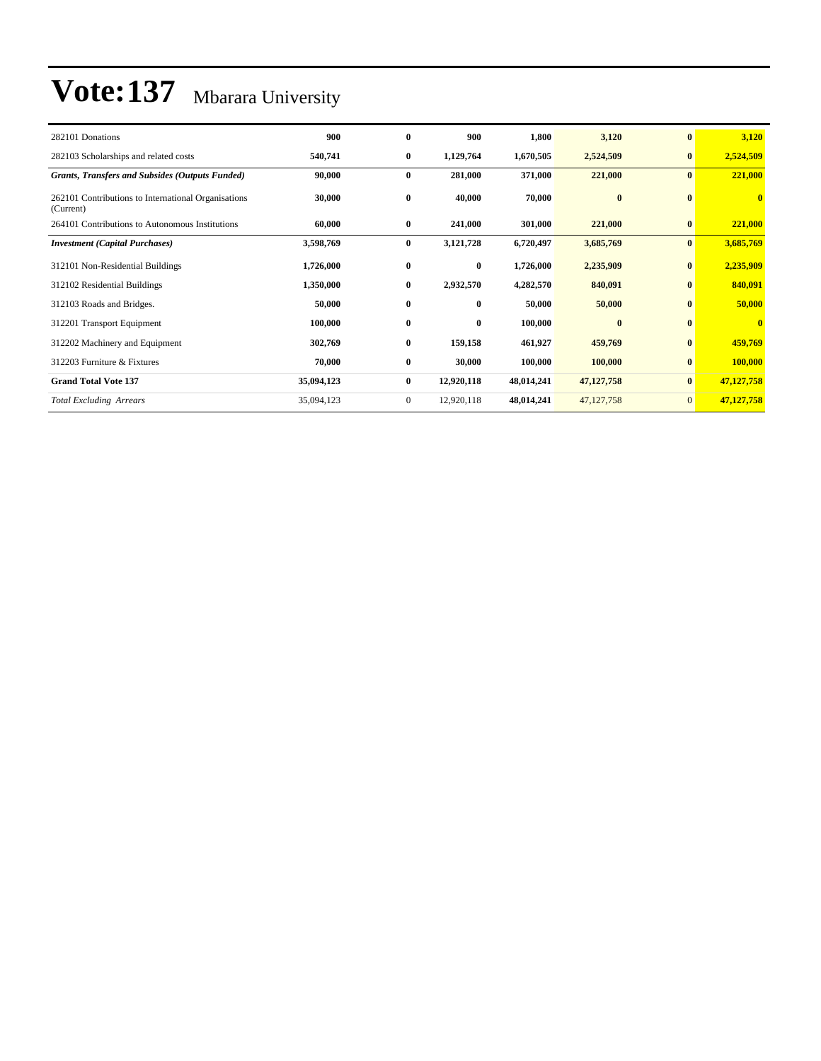| 282101 Donations                                                 | 900        | $\bf{0}$     | 900          | 1,800      | 3,120        | $\bf{0}$       | 3,120        |
|------------------------------------------------------------------|------------|--------------|--------------|------------|--------------|----------------|--------------|
| 282103 Scholarships and related costs                            | 540,741    | $\bf{0}$     | 1,129,764    | 1,670,505  | 2,524,509    | $\bf{0}$       | 2,524,509    |
| <b>Grants, Transfers and Subsides (Outputs Funded)</b>           | 90,000     | $\bf{0}$     | 281,000      | 371,000    | 221,000      | $\bf{0}$       | 221,000      |
| 262101 Contributions to International Organisations<br>(Current) | 30,000     | $\bf{0}$     | 40,000       | 70,000     | $\bf{0}$     | $\bf{0}$       | $\bf{0}$     |
| 264101 Contributions to Autonomous Institutions                  | 60,000     | $\bf{0}$     | 241,000      | 301,000    | 221,000      | $\bf{0}$       | 221,000      |
| <b>Investment</b> (Capital Purchases)                            | 3,598,769  | $\bf{0}$     | 3,121,728    | 6,720,497  | 3,685,769    | $\bf{0}$       | 3,685,769    |
| 312101 Non-Residential Buildings                                 | 1,726,000  | $\bf{0}$     | $\bf{0}$     | 1,726,000  | 2,235,909    | $\mathbf{0}$   | 2,235,909    |
| 312102 Residential Buildings                                     | 1,350,000  | $\bf{0}$     | 2,932,570    | 4,282,570  | 840,091      | $\bf{0}$       | 840,091      |
| 312103 Roads and Bridges.                                        | 50,000     | $\bf{0}$     | $\mathbf{0}$ | 50,000     | 50,000       | $\mathbf{0}$   | 50,000       |
| 312201 Transport Equipment                                       | 100,000    | $\bf{0}$     | $\bf{0}$     | 100,000    | $\bf{0}$     | $\bf{0}$       | $\mathbf{0}$ |
| 312202 Machinery and Equipment                                   | 302,769    | $\bf{0}$     | 159,158      | 461,927    | 459,769      | $\bf{0}$       | 459,769      |
| 312203 Furniture & Fixtures                                      | 70,000     | $\bf{0}$     | 30,000       | 100,000    | 100,000      | $\bf{0}$       | 100,000      |
| <b>Grand Total Vote 137</b>                                      | 35,094,123 | $\bf{0}$     | 12,920,118   | 48,014,241 | 47,127,758   | $\bf{0}$       | 47,127,758   |
| <b>Total Excluding Arrears</b>                                   | 35,094,123 | $\mathbf{0}$ | 12,920,118   | 48,014,241 | 47, 127, 758 | $\overline{0}$ | 47,127,758   |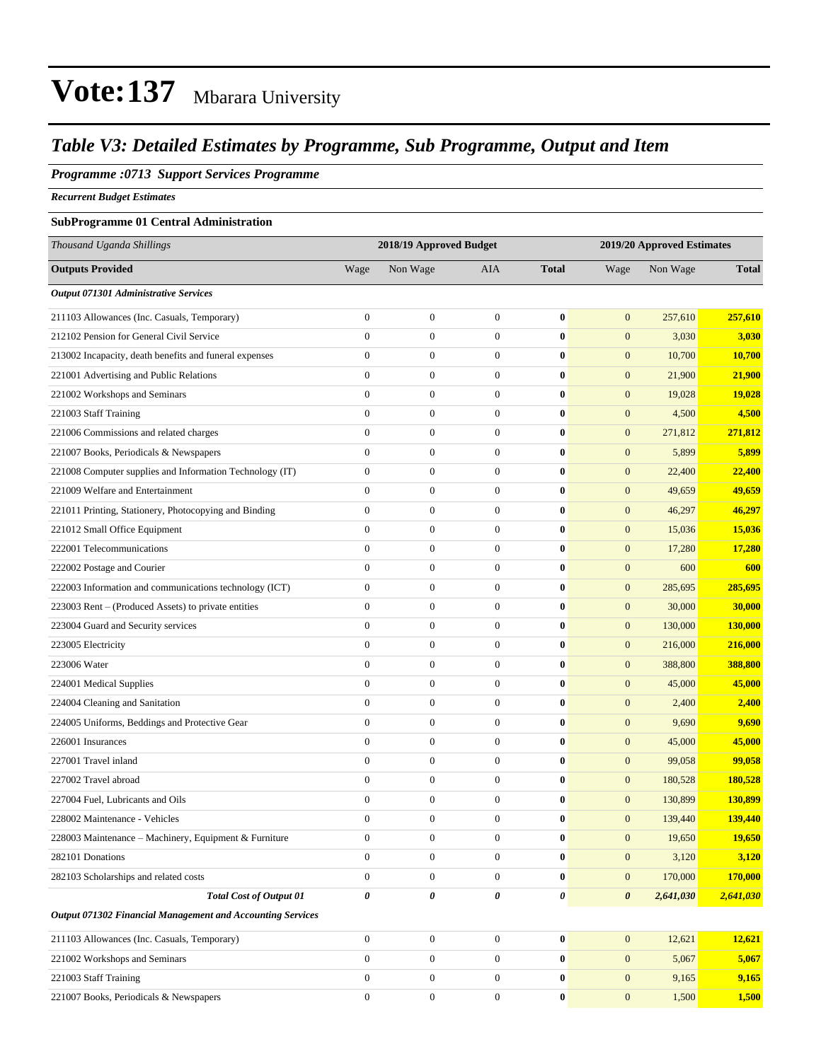#### *Table V3: Detailed Estimates by Programme, Sub Programme, Output and Item*

#### *Programme :0713 Support Services Programme*

*Recurrent Budget Estimates*

#### **SubProgramme 01 Central Administration**

| Thousand Uganda Shillings                                  |                  | 2018/19 Approved Budget |                  |              | 2019/20 Approved Estimates |           |                |
|------------------------------------------------------------|------------------|-------------------------|------------------|--------------|----------------------------|-----------|----------------|
| <b>Outputs Provided</b>                                    | Wage             | Non Wage                | AIA              | <b>Total</b> | Wage                       | Non Wage  | <b>Total</b>   |
| Output 071301 Administrative Services                      |                  |                         |                  |              |                            |           |                |
| 211103 Allowances (Inc. Casuals, Temporary)                | $\boldsymbol{0}$ | $\boldsymbol{0}$        | $\boldsymbol{0}$ | $\bf{0}$     | $\mathbf{0}$               | 257,610   | 257,610        |
| 212102 Pension for General Civil Service                   | $\boldsymbol{0}$ | $\boldsymbol{0}$        | $\boldsymbol{0}$ | $\bf{0}$     | $\mathbf{0}$               | 3,030     | 3,030          |
| 213002 Incapacity, death benefits and funeral expenses     | $\boldsymbol{0}$ | $\boldsymbol{0}$        | $\mathbf{0}$     | $\bf{0}$     | $\mathbf{0}$               | 10,700    | 10,700         |
| 221001 Advertising and Public Relations                    | $\overline{0}$   | $\boldsymbol{0}$        | $\boldsymbol{0}$ | $\bf{0}$     | $\mathbf{0}$               | 21,900    | 21,900         |
| 221002 Workshops and Seminars                              | $\overline{0}$   | $\boldsymbol{0}$        | $\boldsymbol{0}$ | $\bf{0}$     | $\boldsymbol{0}$           | 19,028    | 19,028         |
| 221003 Staff Training                                      | $\overline{0}$   | $\boldsymbol{0}$        | $\boldsymbol{0}$ | $\bf{0}$     | $\mathbf{0}$               | 4,500     | 4,500          |
| 221006 Commissions and related charges                     | $\boldsymbol{0}$ | $\boldsymbol{0}$        | $\boldsymbol{0}$ | $\bf{0}$     | $\mathbf{0}$               | 271,812   | 271,812        |
| 221007 Books, Periodicals & Newspapers                     | $\overline{0}$   | $\boldsymbol{0}$        | $\boldsymbol{0}$ | $\bf{0}$     | $\mathbf{0}$               | 5,899     | 5,899          |
| 221008 Computer supplies and Information Technology (IT)   | $\boldsymbol{0}$ | $\boldsymbol{0}$        | $\boldsymbol{0}$ | $\bf{0}$     | $\mathbf{0}$               | 22,400    | <b>22,400</b>  |
| 221009 Welfare and Entertainment                           | $\overline{0}$   | $\boldsymbol{0}$        | $\boldsymbol{0}$ | $\bf{0}$     | $\boldsymbol{0}$           | 49,659    | 49,659         |
| 221011 Printing, Stationery, Photocopying and Binding      | $\overline{0}$   | $\boldsymbol{0}$        | $\boldsymbol{0}$ | $\bf{0}$     | $\mathbf{0}$               | 46,297    | 46,297         |
| 221012 Small Office Equipment                              | $\boldsymbol{0}$ | $\boldsymbol{0}$        | $\boldsymbol{0}$ | $\bf{0}$     | $\mathbf{0}$               | 15,036    | 15,036         |
| 222001 Telecommunications                                  | $\mathbf{0}$     | $\boldsymbol{0}$        | $\boldsymbol{0}$ | $\bf{0}$     | $\mathbf{0}$               | 17,280    | 17,280         |
| 222002 Postage and Courier                                 | $\overline{0}$   | $\boldsymbol{0}$        | $\boldsymbol{0}$ | $\bf{0}$     | $\boldsymbol{0}$           | 600       | 600            |
| 222003 Information and communications technology (ICT)     | $\boldsymbol{0}$ | $\boldsymbol{0}$        | $\boldsymbol{0}$ | $\bf{0}$     | $\boldsymbol{0}$           | 285,695   | 285,695        |
| 223003 Rent – (Produced Assets) to private entities        | $\overline{0}$   | $\boldsymbol{0}$        | $\boldsymbol{0}$ | $\bf{0}$     | $\mathbf{0}$               | 30,000    | 30,000         |
| 223004 Guard and Security services                         | $\boldsymbol{0}$ | $\boldsymbol{0}$        | $\boldsymbol{0}$ | $\bf{0}$     | $\mathbf{0}$               | 130,000   | 130,000        |
| 223005 Electricity                                         | $\overline{0}$   | $\boldsymbol{0}$        | $\boldsymbol{0}$ | $\bf{0}$     | $\mathbf{0}$               | 216,000   | 216,000        |
| 223006 Water                                               | $\overline{0}$   | $\boldsymbol{0}$        | $\boldsymbol{0}$ | $\bf{0}$     | $\mathbf{0}$               | 388,800   | <b>388,800</b> |
| 224001 Medical Supplies                                    | $\overline{0}$   | $\boldsymbol{0}$        | $\boldsymbol{0}$ | $\bf{0}$     | $\boldsymbol{0}$           | 45,000    | 45,000         |
| 224004 Cleaning and Sanitation                             | $\overline{0}$   | $\boldsymbol{0}$        | $\boldsymbol{0}$ | $\bf{0}$     | $\mathbf{0}$               | 2,400     | 2,400          |
| 224005 Uniforms, Beddings and Protective Gear              | $\boldsymbol{0}$ | $\boldsymbol{0}$        | $\boldsymbol{0}$ | $\bf{0}$     | $\mathbf{0}$               | 9,690     | 9,690          |
| 226001 Insurances                                          | $\overline{0}$   | $\boldsymbol{0}$        | $\boldsymbol{0}$ | $\bf{0}$     | $\mathbf{0}$               | 45,000    | 45,000         |
| 227001 Travel inland                                       | $\overline{0}$   | $\boldsymbol{0}$        | $\boldsymbol{0}$ | $\bf{0}$     | $\mathbf{0}$               | 99,058    | 99,058         |
| 227002 Travel abroad                                       | $\overline{0}$   | $\boldsymbol{0}$        | $\boldsymbol{0}$ | $\bf{0}$     | $\boldsymbol{0}$           | 180,528   | 180,528        |
| 227004 Fuel, Lubricants and Oils                           | $\overline{0}$   | $\boldsymbol{0}$        | $\boldsymbol{0}$ | $\bf{0}$     | $\mathbf{0}$               | 130,899   | 130,899        |
| 228002 Maintenance - Vehicles                              | $\boldsymbol{0}$ | $\boldsymbol{0}$        | $\boldsymbol{0}$ | $\bf{0}$     | $\mathbf{0}$               | 139,440   | 139,440        |
| 228003 Maintenance - Machinery, Equipment & Furniture      | $\boldsymbol{0}$ | $\boldsymbol{0}$        | $\boldsymbol{0}$ | $\bf{0}$     | $\mathbf{0}$               | 19,650    | 19,650         |
| 282101 Donations                                           | $\overline{0}$   | $\boldsymbol{0}$        | $\mathbf{0}$     | $\bf{0}$     | $\mathbf{0}$               | 3,120     | 3,120          |
| 282103 Scholarships and related costs                      | $\overline{0}$   | $\boldsymbol{0}$        | $\mathbf{0}$     | $\bf{0}$     | $\boldsymbol{0}$           | 170,000   | 170,000        |
| <b>Total Cost of Output 01</b>                             | 0                | $\pmb{\theta}$          | 0                | 0            | $\boldsymbol{\theta}$      | 2,641,030 | 2,641,030      |
| Output 071302 Financial Management and Accounting Services |                  |                         |                  |              |                            |           |                |
| 211103 Allowances (Inc. Casuals, Temporary)                | $\boldsymbol{0}$ | $\boldsymbol{0}$        | $\boldsymbol{0}$ | $\bf{0}$     | $\mathbf{0}$               | 12,621    | 12,621         |
| 221002 Workshops and Seminars                              | $\overline{0}$   | $\boldsymbol{0}$        | $\boldsymbol{0}$ | $\bf{0}$     | $\mathbf{0}$               | 5,067     | 5,067          |
| 221003 Staff Training                                      | $\overline{0}$   | $\boldsymbol{0}$        | $\boldsymbol{0}$ | $\bf{0}$     | $\mathbf{0}$               | 9,165     | 9,165          |
| 221007 Books, Periodicals & Newspapers                     | $\boldsymbol{0}$ | $\boldsymbol{0}$        | $\boldsymbol{0}$ | $\bf{0}$     | $\boldsymbol{0}$           | 1,500     | 1,500          |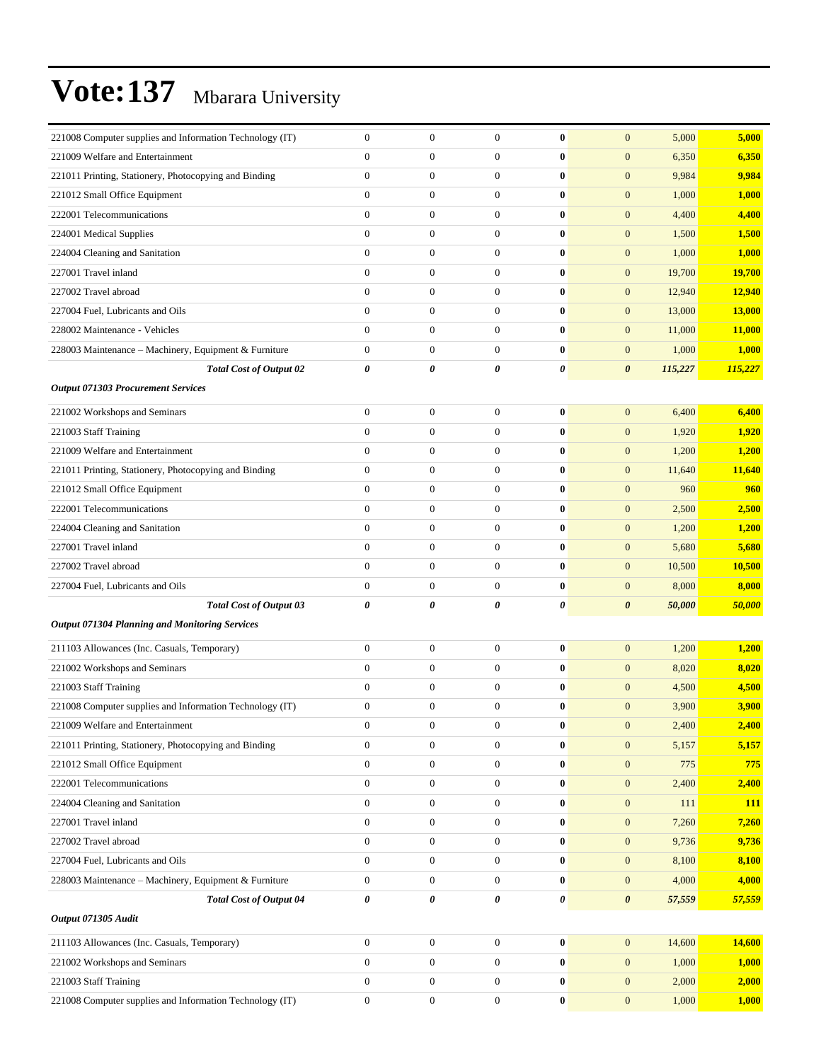|                                                                                           | $\mathbf{0}$                         |                                      | $\mathbf{0}$                     | $\bf{0}$             |                                      |                | 5,000           |
|-------------------------------------------------------------------------------------------|--------------------------------------|--------------------------------------|----------------------------------|----------------------|--------------------------------------|----------------|-----------------|
| 221008 Computer supplies and Information Technology (IT)                                  |                                      | $\boldsymbol{0}$                     |                                  |                      | $\boldsymbol{0}$                     | 5,000          |                 |
| 221009 Welfare and Entertainment                                                          | $\overline{0}$                       | $\boldsymbol{0}$                     | $\overline{0}$                   | $\bf{0}$             | $\mathbf{0}$                         | 6,350          | 6,350           |
| 221011 Printing, Stationery, Photocopying and Binding                                     | $\boldsymbol{0}$                     | $\mathbf{0}$                         | $\mathbf{0}$                     | $\bf{0}$             | $\mathbf{0}$                         | 9,984          | 9,984           |
| 221012 Small Office Equipment                                                             | $\boldsymbol{0}$                     | $\boldsymbol{0}$                     | $\mathbf{0}$                     | $\bf{0}$             | $\mathbf{0}$                         | 1,000          | 1,000           |
| 222001 Telecommunications                                                                 | $\overline{0}$                       | $\boldsymbol{0}$                     | $\mathbf{0}$                     | $\bf{0}$             | $\mathbf{0}$                         | 4,400          | 4,400           |
| 224001 Medical Supplies                                                                   | $\overline{0}$                       | $\boldsymbol{0}$                     | $\mathbf{0}$                     | $\bf{0}$             | $\boldsymbol{0}$                     | 1,500          | 1,500           |
| 224004 Cleaning and Sanitation                                                            | $\overline{0}$                       | $\boldsymbol{0}$                     | $\mathbf{0}$                     | $\bf{0}$             | $\mathbf{0}$                         | 1,000          | 1,000           |
| 227001 Travel inland                                                                      | $\overline{0}$                       | $\boldsymbol{0}$                     | $\mathbf{0}$                     | $\bf{0}$             | $\mathbf{0}$                         | 19,700         | 19,700          |
| 227002 Travel abroad                                                                      | $\boldsymbol{0}$                     | $\boldsymbol{0}$                     | $\mathbf{0}$                     | $\bf{0}$             | $\boldsymbol{0}$                     | 12,940         | 12,940          |
| 227004 Fuel, Lubricants and Oils                                                          | $\overline{0}$                       | $\boldsymbol{0}$                     | $\mathbf{0}$                     | $\bf{0}$             | $\mathbf{0}$                         | 13,000         | 13,000          |
| 228002 Maintenance - Vehicles                                                             | $\overline{0}$                       | $\boldsymbol{0}$                     | $\mathbf{0}$                     | $\bf{0}$             | $\mathbf{0}$                         | 11,000         | 11,000          |
| 228003 Maintenance - Machinery, Equipment & Furniture                                     | $\overline{0}$                       | $\boldsymbol{0}$                     | $\mathbf{0}$                     | $\bf{0}$             | $\boldsymbol{0}$                     | 1,000          | 1,000           |
| <b>Total Cost of Output 02</b>                                                            | 0                                    | 0                                    | 0                                | 0                    | $\boldsymbol{\theta}$                | 115,227        | 115,227         |
| <b>Output 071303 Procurement Services</b>                                                 |                                      |                                      |                                  |                      |                                      |                |                 |
| 221002 Workshops and Seminars                                                             | $\boldsymbol{0}$                     | $\boldsymbol{0}$                     | $\mathbf{0}$                     | $\bf{0}$             | $\boldsymbol{0}$                     | 6,400          | 6,400           |
| 221003 Staff Training                                                                     | $\overline{0}$                       | $\boldsymbol{0}$                     | $\mathbf{0}$                     | $\bf{0}$             | $\boldsymbol{0}$                     | 1,920          | 1,920           |
| 221009 Welfare and Entertainment                                                          | $\overline{0}$                       | $\boldsymbol{0}$                     | $\mathbf{0}$                     | $\bf{0}$             | $\boldsymbol{0}$                     | 1,200          | 1,200           |
| 221011 Printing, Stationery, Photocopying and Binding                                     | $\overline{0}$                       | $\boldsymbol{0}$                     | $\mathbf{0}$                     | $\bf{0}$             | $\mathbf{0}$                         | 11,640         | 11,640          |
| 221012 Small Office Equipment                                                             | $\boldsymbol{0}$                     | $\boldsymbol{0}$                     | $\mathbf{0}$                     | $\bf{0}$             | $\mathbf{0}$                         | 960            | 960             |
| 222001 Telecommunications                                                                 | $\boldsymbol{0}$                     | $\boldsymbol{0}$                     | $\mathbf{0}$                     | $\bf{0}$             | $\boldsymbol{0}$                     | 2,500          | 2,500           |
| 224004 Cleaning and Sanitation                                                            | $\overline{0}$                       | $\boldsymbol{0}$                     | $\mathbf{0}$                     | $\bf{0}$             | $\boldsymbol{0}$                     | 1,200          | 1,200           |
| 227001 Travel inland                                                                      | $\overline{0}$                       | $\boldsymbol{0}$                     | $\mathbf{0}$                     | $\bf{0}$             | $\boldsymbol{0}$                     | 5,680          | 5,680           |
| 227002 Travel abroad                                                                      | $\overline{0}$                       | $\boldsymbol{0}$                     | $\overline{0}$                   | $\bf{0}$             | $\mathbf{0}$                         | 10,500         | 10,500          |
| 227004 Fuel, Lubricants and Oils                                                          | $\boldsymbol{0}$                     | $\mathbf{0}$                         | $\mathbf{0}$                     | $\bf{0}$             | $\mathbf{0}$                         | 8,000          | 8,000           |
| <b>Total Cost of Output 03</b>                                                            | 0                                    | 0                                    | 0                                | 0                    | $\boldsymbol{\theta}$                | 50,000         | 50,000          |
| <b>Output 071304 Planning and Monitoring Services</b>                                     |                                      |                                      |                                  |                      |                                      |                |                 |
|                                                                                           |                                      |                                      |                                  |                      |                                      |                |                 |
| 211103 Allowances (Inc. Casuals, Temporary)                                               | $\boldsymbol{0}$                     | $\mathbf{0}$                         | $\mathbf{0}$                     | $\bf{0}$             | $\mathbf{0}$                         | 1,200          | 1,200           |
| 221002 Workshops and Seminars                                                             | $\overline{0}$                       | $\boldsymbol{0}$                     | $\mathbf{0}$                     | $\bf{0}$             | $\boldsymbol{0}$                     | 8,020          | 8,020           |
| 221003 Staff Training                                                                     | $\overline{0}$                       | $\boldsymbol{0}$                     | $\mathbf{0}$                     | $\bf{0}$             | $\mathbf{0}$                         | 4,500          | 4,500           |
| 221008 Computer supplies and Information Technology (IT)                                  | $\boldsymbol{0}$                     | $\boldsymbol{0}$                     | $\mathbf{0}$                     | $\bf{0}$             | $\boldsymbol{0}$                     | 3,900          | 3,900           |
| 221009 Welfare and Entertainment                                                          | $\boldsymbol{0}$                     |                                      |                                  |                      |                                      |                | 2,400           |
|                                                                                           |                                      | $\boldsymbol{0}$                     | $\boldsymbol{0}$                 | $\bf{0}$             | $\boldsymbol{0}$                     | 2,400          |                 |
| 221011 Printing, Stationery, Photocopying and Binding                                     | $\boldsymbol{0}$                     | $\boldsymbol{0}$                     | $\mathbf{0}$                     | $\bf{0}$             | $\mathbf{0}$                         | 5,157          | 5,157           |
| 221012 Small Office Equipment                                                             | $\boldsymbol{0}$                     | $\boldsymbol{0}$                     | $\mathbf{0}$                     | $\bf{0}$             | $\boldsymbol{0}$                     | 775            | 775             |
| 222001 Telecommunications                                                                 | $\boldsymbol{0}$                     | $\boldsymbol{0}$                     | $\mathbf{0}$                     | $\bf{0}$             | $\boldsymbol{0}$                     | 2,400          | 2,400           |
| 224004 Cleaning and Sanitation                                                            | $\boldsymbol{0}$                     | $\boldsymbol{0}$                     | $\mathbf{0}$                     | $\bf{0}$             | $\boldsymbol{0}$                     | 111            | <b>111</b>      |
| 227001 Travel inland                                                                      | $\boldsymbol{0}$                     | $\boldsymbol{0}$                     | $\mathbf{0}$                     | $\bf{0}$             | $\boldsymbol{0}$                     | 7,260          | 7,260           |
| 227002 Travel abroad                                                                      | $\boldsymbol{0}$                     | $\boldsymbol{0}$                     | $\boldsymbol{0}$                 | $\bf{0}$             | $\boldsymbol{0}$                     | 9,736          | 9,736           |
|                                                                                           | $\boldsymbol{0}$                     | $\boldsymbol{0}$                     | $\mathbf{0}$                     | $\bf{0}$             | $\boldsymbol{0}$                     | 8,100          | 8,100           |
| 227004 Fuel, Lubricants and Oils<br>228003 Maintenance - Machinery, Equipment & Furniture | $\boldsymbol{0}$                     | $\boldsymbol{0}$                     | $\mathbf{0}$                     | $\bf{0}$             | $\boldsymbol{0}$                     | 4,000          |                 |
| <b>Total Cost of Output 04</b>                                                            | 0                                    | 0                                    | 0                                | 0                    | $\boldsymbol{\theta}$                | 57,559         | 4,000<br>57,559 |
| Output 071305 Audit                                                                       |                                      |                                      |                                  |                      |                                      |                |                 |
|                                                                                           |                                      |                                      |                                  |                      |                                      |                |                 |
| 211103 Allowances (Inc. Casuals, Temporary)                                               | $\boldsymbol{0}$                     | $\boldsymbol{0}$                     | $\boldsymbol{0}$                 | $\bf{0}$             | $\mathbf{0}$                         | 14,600         | 14,600          |
| 221002 Workshops and Seminars                                                             | $\boldsymbol{0}$                     | $\boldsymbol{0}$                     | $\mathbf{0}$                     | $\bf{0}$             | $\mathbf{0}$                         | 1,000          | 1,000           |
| 221003 Staff Training<br>221008 Computer supplies and Information Technology (IT)         | $\boldsymbol{0}$<br>$\boldsymbol{0}$ | $\boldsymbol{0}$<br>$\boldsymbol{0}$ | $\mathbf{0}$<br>$\boldsymbol{0}$ | $\bf{0}$<br>$\bf{0}$ | $\boldsymbol{0}$<br>$\boldsymbol{0}$ | 2,000<br>1,000 | 2,000<br>1,000  |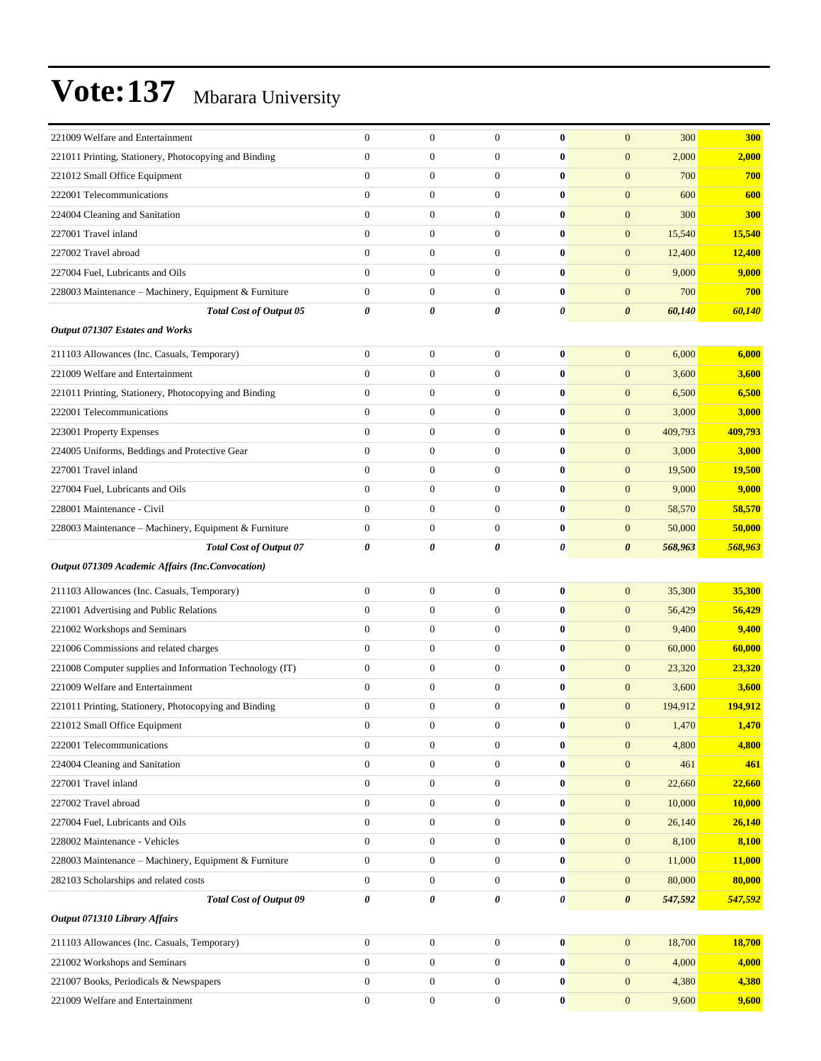| 221009 Welfare and Entertainment                         | $\theta$         | $\mathbf{0}$     | $\mathbf{0}$          | $\bf{0}$       | $\mathbf{0}$          | 300     | 300        |
|----------------------------------------------------------|------------------|------------------|-----------------------|----------------|-----------------------|---------|------------|
| 221011 Printing, Stationery, Photocopying and Binding    | $\overline{0}$   | $\mathbf{0}$     | $\overline{0}$        | $\bf{0}$       | $\mathbf{0}$          | 2,000   | 2,000      |
| 221012 Small Office Equipment                            | $\overline{0}$   | $\boldsymbol{0}$ | $\mathbf{0}$          | $\bf{0}$       | $\boldsymbol{0}$      | 700     | 700        |
| 222001 Telecommunications                                | $\overline{0}$   | $\mathbf{0}$     | $\theta$              | $\bf{0}$       | $\overline{0}$        | 600     | 600        |
| 224004 Cleaning and Sanitation                           | $\overline{0}$   | $\boldsymbol{0}$ | $\mathbf{0}$          | $\bf{0}$       | $\boldsymbol{0}$      | 300     | <b>300</b> |
| 227001 Travel inland                                     | $\overline{0}$   | $\mathbf{0}$     | $\mathbf{0}$          | $\bf{0}$       | $\boldsymbol{0}$      | 15,540  | 15,540     |
| 227002 Travel abroad                                     | $\overline{0}$   | $\mathbf{0}$     | $\boldsymbol{0}$      | $\bf{0}$       | $\boldsymbol{0}$      | 12,400  | 12,400     |
| 227004 Fuel, Lubricants and Oils                         | $\overline{0}$   | $\boldsymbol{0}$ | $\boldsymbol{0}$      | $\bf{0}$       | $\boldsymbol{0}$      | 9,000   | 9,000      |
| 228003 Maintenance - Machinery, Equipment & Furniture    | $\overline{0}$   | $\mathbf{0}$     | $\theta$              | $\bf{0}$       | $\boldsymbol{0}$      | 700     | 700        |
| <b>Total Cost of Output 05</b>                           | 0                | 0                | 0                     | 0              | 0                     | 60,140  | 60,140     |
| Output 071307 Estates and Works                          |                  |                  |                       |                |                       |         |            |
| 211103 Allowances (Inc. Casuals, Temporary)              | $\mathbf{0}$     | $\mathbf{0}$     | $\mathbf{0}$          | $\bf{0}$       | $\boldsymbol{0}$      | 6,000   | 6,000      |
| 221009 Welfare and Entertainment                         | $\overline{0}$   | $\mathbf{0}$     | $\theta$              | $\bf{0}$       | $\boldsymbol{0}$      | 3,600   | 3,600      |
| 221011 Printing, Stationery, Photocopying and Binding    | $\boldsymbol{0}$ | $\boldsymbol{0}$ | $\mathbf{0}$          | $\bf{0}$       | $\boldsymbol{0}$      | 6,500   | 6,500      |
| 222001 Telecommunications                                | 0                | $\mathbf{0}$     | $\mathbf{0}$          | $\bf{0}$       | $\overline{0}$        | 3,000   | 3,000      |
| 223001 Property Expenses                                 | $\overline{0}$   | $\mathbf{0}$     | $\boldsymbol{0}$      | $\bf{0}$       | $\overline{0}$        | 409,793 | 409,793    |
| 224005 Uniforms, Beddings and Protective Gear            | $\overline{0}$   | $\mathbf{0}$     | $\theta$              | $\bf{0}$       | $\boldsymbol{0}$      | 3,000   | 3,000      |
| 227001 Travel inland                                     | $\overline{0}$   | $\mathbf{0}$     | $\mathbf{0}$          | $\bf{0}$       | $\boldsymbol{0}$      | 19,500  | 19,500     |
| 227004 Fuel, Lubricants and Oils                         | $\overline{0}$   | $\boldsymbol{0}$ | $\mathbf{0}$          | $\bf{0}$       | $\boldsymbol{0}$      | 9,000   | 9,000      |
| 228001 Maintenance - Civil                               | $\overline{0}$   | $\mathbf{0}$     | $\mathbf{0}$          | $\bf{0}$       | $\boldsymbol{0}$      | 58,570  | 58,570     |
| 228003 Maintenance – Machinery, Equipment & Furniture    | $\boldsymbol{0}$ | $\boldsymbol{0}$ | $\mathbf{0}$          | $\bf{0}$       | $\boldsymbol{0}$      | 50,000  | 50,000     |
| <b>Total Cost of Output 07</b>                           | 0                | 0                | $\boldsymbol{\theta}$ | 0              | 0                     | 568,963 | 568,963    |
| <b>Output 071309 Academic Affairs (Inc.Convocation)</b>  |                  |                  |                       |                |                       |         |            |
| 211103 Allowances (Inc. Casuals, Temporary)              | $\overline{0}$   | $\mathbf{0}$     | $\boldsymbol{0}$      | $\bf{0}$       | $\boldsymbol{0}$      | 35,300  | 35,300     |
| 221001 Advertising and Public Relations                  | $\overline{0}$   | $\mathbf{0}$     | $\boldsymbol{0}$      | $\bf{0}$       | $\boldsymbol{0}$      | 56,429  | 56,429     |
| 221002 Workshops and Seminars                            | $\overline{0}$   | $\mathbf{0}$     | $\mathbf{0}$          | $\bf{0}$       | $\boldsymbol{0}$      | 9,400   | 9,400      |
| 221006 Commissions and related charges                   | $\boldsymbol{0}$ | $\boldsymbol{0}$ | $\mathbf{0}$          | $\bf{0}$       | $\boldsymbol{0}$      | 60,000  | 60,000     |
| 221008 Computer supplies and Information Technology (IT) | $\overline{0}$   | $\mathbf{0}$     | $\boldsymbol{0}$      | $\bf{0}$       | $\boldsymbol{0}$      | 23,320  | 23,320     |
| 221009 Welfare and Entertainment                         | $\overline{0}$   | $\mathbf{0}$     | $\mathbf{0}$          | $\bf{0}$       | $\boldsymbol{0}$      | 3,600   | 3,600      |
| 221011 Printing, Stationery, Photocopying and Binding    | $\theta$         | $\mathbf{0}$     | $\mathbf{0}$          | $\bf{0}$       | $\boldsymbol{0}$      | 194,912 | 194,912    |
| 221012 Small Office Equipment                            | $\boldsymbol{0}$ | $\boldsymbol{0}$ | $\boldsymbol{0}$      | $\bf{0}$       | $\mathbf{0}$          | 1,470   | 1,470      |
| 222001 Telecommunications                                | $\boldsymbol{0}$ | $\boldsymbol{0}$ | $\boldsymbol{0}$      | $\bf{0}$       | $\boldsymbol{0}$      | 4,800   | 4,800      |
| 224004 Cleaning and Sanitation                           | $\boldsymbol{0}$ | $\mathbf{0}$     | $\boldsymbol{0}$      | $\bf{0}$       | $\boldsymbol{0}$      | 461     | 461        |
| 227001 Travel inland                                     | $\overline{0}$   | $\mathbf{0}$     | $\mathbf{0}$          | $\bf{0}$       | $\boldsymbol{0}$      | 22,660  | 22,660     |
| 227002 Travel abroad                                     | $\overline{0}$   | $\boldsymbol{0}$ | $\mathbf{0}$          | $\bf{0}$       | $\boldsymbol{0}$      | 10,000  | 10,000     |
| 227004 Fuel, Lubricants and Oils                         | $\boldsymbol{0}$ | $\mathbf{0}$     | $\boldsymbol{0}$      | $\bf{0}$       | $\boldsymbol{0}$      | 26,140  | 26,140     |
| 228002 Maintenance - Vehicles                            | $\boldsymbol{0}$ | $\mathbf{0}$     | $\boldsymbol{0}$      | $\bf{0}$       | $\boldsymbol{0}$      | 8,100   | 8,100      |
| 228003 Maintenance - Machinery, Equipment & Furniture    | $\boldsymbol{0}$ | $\mathbf{0}$     | $\mathbf{0}$          | $\bf{0}$       | $\boldsymbol{0}$      | 11,000  | 11,000     |
| 282103 Scholarships and related costs                    | $\boldsymbol{0}$ | $\mathbf{0}$     | $\boldsymbol{0}$      | $\bf{0}$       | $\boldsymbol{0}$      | 80,000  | 80,000     |
| <b>Total Cost of Output 09</b>                           | 0                | 0                | $\boldsymbol{\theta}$ | $\pmb{\theta}$ | $\boldsymbol{\theta}$ | 547,592 | 547,592    |
| <b>Output 071310 Library Affairs</b>                     |                  |                  |                       |                |                       |         |            |
| 211103 Allowances (Inc. Casuals, Temporary)              | $\boldsymbol{0}$ | $\boldsymbol{0}$ | $\mathbf{0}$          | $\bf{0}$       | $\boldsymbol{0}$      | 18,700  | 18,700     |
| 221002 Workshops and Seminars                            | $\boldsymbol{0}$ | $\boldsymbol{0}$ | $\boldsymbol{0}$      | $\bf{0}$       | $\boldsymbol{0}$      | 4,000   | 4,000      |
| 221007 Books, Periodicals & Newspapers                   | $\boldsymbol{0}$ | $\mathbf{0}$     | $\boldsymbol{0}$      | $\bf{0}$       | $\boldsymbol{0}$      | 4,380   | 4,380      |
| 221009 Welfare and Entertainment                         | $\boldsymbol{0}$ | $\mathbf{0}$     | $\boldsymbol{0}$      | $\bf{0}$       | $\mathbf{0}$          | 9,600   | 9,600      |
|                                                          |                  |                  |                       |                |                       |         |            |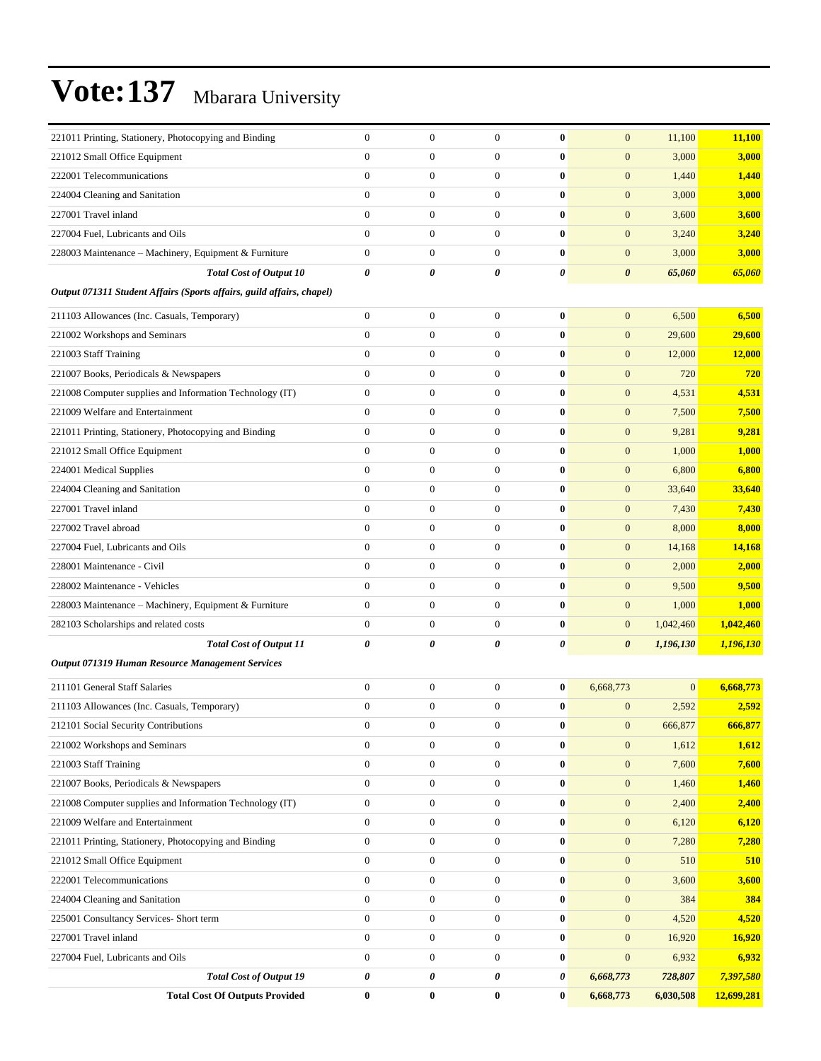| 221011 Printing, Stationery, Photocopying and Binding                 | $\theta$         | $\boldsymbol{0}$ | $\mathbf{0}$          | $\bf{0}$              | $\mathbf{0}$          | 11,100       | 11,100        |
|-----------------------------------------------------------------------|------------------|------------------|-----------------------|-----------------------|-----------------------|--------------|---------------|
| 221012 Small Office Equipment                                         | $\mathbf{0}$     | $\mathbf{0}$     | $\theta$              | $\bf{0}$              | $\overline{0}$        | 3,000        | 3,000         |
| 222001 Telecommunications                                             | $\overline{0}$   | $\mathbf{0}$     | $\mathbf{0}$          | $\bf{0}$              | $\mathbf{0}$          | 1,440        | 1,440         |
| 224004 Cleaning and Sanitation                                        | $\mathbf{0}$     | $\mathbf{0}$     | $\mathbf{0}$          | $\bf{0}$              | $\mathbf{0}$          | 3,000        | 3,000         |
| 227001 Travel inland                                                  | $\overline{0}$   | $\mathbf{0}$     | $\mathbf{0}$          | $\bf{0}$              | $\mathbf{0}$          | 3,600        | 3,600         |
| 227004 Fuel, Lubricants and Oils                                      | $\overline{0}$   | $\mathbf{0}$     | $\mathbf{0}$          | $\bf{0}$              | $\mathbf{0}$          | 3,240        | 3,240         |
| 228003 Maintenance - Machinery, Equipment & Furniture                 | $\overline{0}$   | $\mathbf{0}$     | $\mathbf{0}$          | $\bf{0}$              | $\overline{0}$        | 3,000        | 3,000         |
| <b>Total Cost of Output 10</b>                                        | 0                | 0                | $\boldsymbol{\theta}$ | $\boldsymbol{\theta}$ | $\boldsymbol{\theta}$ | 65,060       | 65,060        |
| Output 071311 Student Affairs (Sports affairs, guild affairs, chapel) |                  |                  |                       |                       |                       |              |               |
| 211103 Allowances (Inc. Casuals, Temporary)                           | $\boldsymbol{0}$ | $\mathbf{0}$     | $\mathbf{0}$          | $\bf{0}$              | $\mathbf{0}$          | 6,500        | 6,500         |
| 221002 Workshops and Seminars                                         | $\overline{0}$   | $\mathbf{0}$     | $\boldsymbol{0}$      | $\bf{0}$              | $\mathbf{0}$          | 29,600       | 29,600        |
| 221003 Staff Training                                                 | $\overline{0}$   | $\mathbf{0}$     | $\mathbf{0}$          | $\bf{0}$              | $\mathbf{0}$          | 12,000       | 12,000        |
| 221007 Books, Periodicals & Newspapers                                | $\overline{0}$   | $\mathbf{0}$     | $\mathbf{0}$          | $\bf{0}$              | $\mathbf{0}$          | 720          | 720           |
| 221008 Computer supplies and Information Technology (IT)              | $\boldsymbol{0}$ | $\boldsymbol{0}$ | $\mathbf{0}$          | $\bf{0}$              | $\boldsymbol{0}$      | 4,531        | 4,531         |
| 221009 Welfare and Entertainment                                      | $\boldsymbol{0}$ | $\mathbf{0}$     | $\mathbf{0}$          | $\bf{0}$              | $\mathbf{0}$          | 7,500        | 7,500         |
| 221011 Printing, Stationery, Photocopying and Binding                 | $\overline{0}$   | $\mathbf{0}$     | $\mathbf{0}$          | $\bf{0}$              | $\mathbf{0}$          | 9,281        | 9,281         |
| 221012 Small Office Equipment                                         | $\overline{0}$   | $\mathbf{0}$     | $\mathbf{0}$          | $\bf{0}$              | $\mathbf{0}$          | 1,000        | 1,000         |
| 224001 Medical Supplies                                               | $\overline{0}$   | $\mathbf{0}$     | $\mathbf{0}$          | $\bf{0}$              | $\mathbf{0}$          | 6,800        | 6,800         |
| 224004 Cleaning and Sanitation                                        | $\mathbf{0}$     | $\boldsymbol{0}$ | $\mathbf{0}$          | $\bf{0}$              | $\boldsymbol{0}$      | 33,640       | 33,640        |
| 227001 Travel inland                                                  | $\overline{0}$   | $\mathbf{0}$     | $\mathbf{0}$          | $\bf{0}$              | $\boldsymbol{0}$      | 7,430        | 7,430         |
| 227002 Travel abroad                                                  | $\overline{0}$   | $\mathbf{0}$     | $\mathbf{0}$          | $\bf{0}$              | $\mathbf{0}$          | 8,000        | 8,000         |
| 227004 Fuel, Lubricants and Oils                                      | $\overline{0}$   | $\mathbf{0}$     | $\mathbf{0}$          | $\bf{0}$              | $\mathbf{0}$          | 14,168       | 14,168        |
| 228001 Maintenance - Civil                                            | $\overline{0}$   | $\mathbf{0}$     | $\mathbf{0}$          | $\bf{0}$              | $\mathbf{0}$          | 2,000        | 2,000         |
| 228002 Maintenance - Vehicles                                         | $\mathbf{0}$     | $\mathbf{0}$     | $\mathbf{0}$          | $\bf{0}$              | $\mathbf{0}$          | 9,500        | 9,500         |
| 228003 Maintenance - Machinery, Equipment & Furniture                 | $\boldsymbol{0}$ | $\mathbf{0}$     | $\mathbf{0}$          | $\bf{0}$              | $\mathbf{0}$          | 1,000        | 1,000         |
| 282103 Scholarships and related costs                                 | $\boldsymbol{0}$ | $\boldsymbol{0}$ | $\mathbf{0}$          | $\bf{0}$              | $\mathbf{0}$          | 1,042,460    | 1,042,460     |
| <b>Total Cost of Output 11</b>                                        | 0                | 0                | $\boldsymbol{\theta}$ | 0                     | $\boldsymbol{\theta}$ | 1,196,130    | 1,196,130     |
| Output 071319 Human Resource Management Services                      |                  |                  |                       |                       |                       |              |               |
| 211101 General Staff Salaries                                         | $\overline{0}$   | $\mathbf{0}$     | $\mathbf{0}$          | $\bf{0}$              | 6,668,773             | $\mathbf{0}$ | 6,668,773     |
| 211103 Allowances (Inc. Casuals, Temporary)                           | $\overline{0}$   | $\mathbf{0}$     | $\boldsymbol{0}$      | $\bf{0}$              | $\boldsymbol{0}$      | 2,592        | 2,592         |
| 212101 Social Security Contributions                                  | $\boldsymbol{0}$ | $\boldsymbol{0}$ | $\boldsymbol{0}$      | $\bf{0}$              | $\mathbf{0}$          | 666,877      | 666,877       |
| 221002 Workshops and Seminars                                         | $\boldsymbol{0}$ | $\boldsymbol{0}$ | $\boldsymbol{0}$      | $\bf{0}$              | $\boldsymbol{0}$      | 1,612        | 1,612         |
| 221003 Staff Training                                                 | $\overline{0}$   | $\boldsymbol{0}$ | $\boldsymbol{0}$      | $\bf{0}$              | $\boldsymbol{0}$      | 7,600        | 7,600         |
| 221007 Books, Periodicals & Newspapers                                | $\boldsymbol{0}$ | $\boldsymbol{0}$ | $\mathbf{0}$          | $\bf{0}$              | $\mathbf{0}$          | 1,460        | <b>1,460</b>  |
| 221008 Computer supplies and Information Technology (IT)              | $\boldsymbol{0}$ | $\boldsymbol{0}$ | $\boldsymbol{0}$      | $\pmb{0}$             | $\mathbf{0}$          | 2,400        | 2,400         |
| 221009 Welfare and Entertainment                                      | $\boldsymbol{0}$ | $\boldsymbol{0}$ | $\boldsymbol{0}$      | $\bf{0}$              | $\mathbf{0}$          | 6,120        | 6,120         |
| 221011 Printing, Stationery, Photocopying and Binding                 | $\boldsymbol{0}$ | $\boldsymbol{0}$ | $\boldsymbol{0}$      | $\pmb{0}$             | $\mathbf{0}$          | 7,280        | 7,280         |
| 221012 Small Office Equipment                                         | $\boldsymbol{0}$ | $\boldsymbol{0}$ | $\boldsymbol{0}$      | $\bf{0}$              | $\mathbf{0}$          | 510          | 510           |
| 222001 Telecommunications                                             | $\boldsymbol{0}$ | $\boldsymbol{0}$ | $\mathbf{0}$          | $\bf{0}$              | $\mathbf{0}$          | 3,600        | 3,600         |
| 224004 Cleaning and Sanitation                                        | $\boldsymbol{0}$ | $\boldsymbol{0}$ | $\boldsymbol{0}$      | $\pmb{0}$             | $\mathbf{0}$          | 384          | 384           |
| 225001 Consultancy Services- Short term                               | $\boldsymbol{0}$ | $\mathbf{0}$     | $\boldsymbol{0}$      | $\bf{0}$              | $\mathbf{0}$          | 4,520        | 4,520         |
| 227001 Travel inland                                                  | $\boldsymbol{0}$ | $\boldsymbol{0}$ | $\boldsymbol{0}$      | $\bf{0}$              | $\boldsymbol{0}$      | 16,920       | <b>16,920</b> |
| 227004 Fuel, Lubricants and Oils                                      | $\mathbf{0}$     | $\boldsymbol{0}$ | $\boldsymbol{0}$      | $\bf{0}$              | $\boldsymbol{0}$      | 6,932        | 6,932         |
| <b>Total Cost of Output 19</b>                                        | 0                | 0                | 0                     | 0                     | 6,668,773             | 728,807      | 7,397,580     |
| <b>Total Cost Of Outputs Provided</b>                                 | $\pmb{0}$        | $\bf{0}$         | $\bf{0}$              | $\bf{0}$              | 6,668,773             | 6,030,508    | 12,699,281    |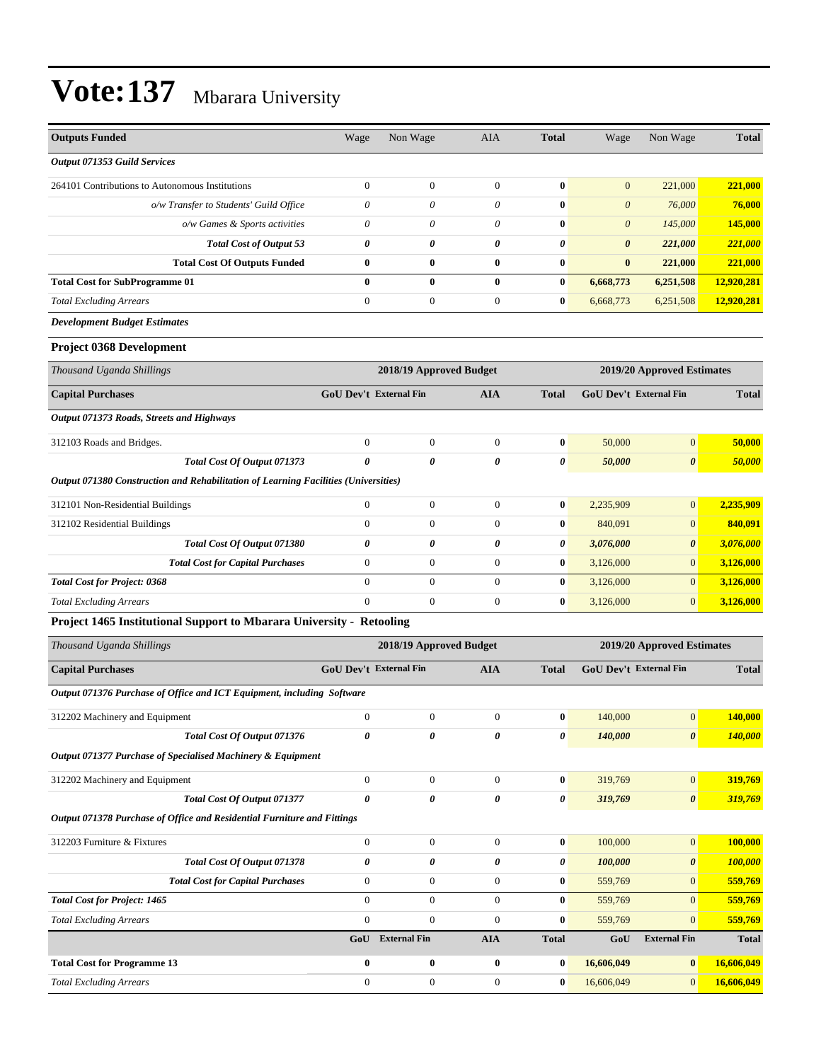| <b>Outputs Funded</b>                                                               | Wage                          | Non Wage                | AIA              | <b>Total</b>   | Wage                          | Non Wage                   | <b>Total</b>   |
|-------------------------------------------------------------------------------------|-------------------------------|-------------------------|------------------|----------------|-------------------------------|----------------------------|----------------|
| <b>Output 071353 Guild Services</b>                                                 |                               |                         |                  |                |                               |                            |                |
| 264101 Contributions to Autonomous Institutions                                     | $\overline{0}$                | $\boldsymbol{0}$        | $\boldsymbol{0}$ | $\bf{0}$       | $\mathbf{0}$                  | 221,000                    | 221,000        |
| o/w Transfer to Students' Guild Office                                              | 0                             | 0                       | 0                | $\bf{0}$       | $\theta$                      | 76,000                     | 76,000         |
| o/w Games & Sports activities                                                       | $\boldsymbol{\mathit{0}}$     | 0                       | $\theta$         | $\bf{0}$       | $\theta$                      | 145,000                    | 145,000        |
| Total Cost of Output 53                                                             | 0                             | 0                       | 0                | 0              | $\boldsymbol{\theta}$         | 221,000                    | 221,000        |
| <b>Total Cost Of Outputs Funded</b>                                                 | $\bf{0}$                      | 0                       | $\bf{0}$         | $\bf{0}$       | $\bf{0}$                      | 221,000                    | 221,000        |
| <b>Total Cost for SubProgramme 01</b>                                               | $\bf{0}$                      | $\bf{0}$                | $\bf{0}$         | $\bf{0}$       | 6,668,773                     | 6,251,508                  | 12,920,281     |
| <b>Total Excluding Arrears</b>                                                      | $\boldsymbol{0}$              | $\boldsymbol{0}$        | $\mathbf{0}$     | $\bf{0}$       | 6,668,773                     | 6,251,508                  | 12,920,281     |
| <b>Development Budget Estimates</b>                                                 |                               |                         |                  |                |                               |                            |                |
| <b>Project 0368 Development</b>                                                     |                               |                         |                  |                |                               |                            |                |
| Thousand Uganda Shillings                                                           |                               | 2018/19 Approved Budget |                  |                |                               | 2019/20 Approved Estimates |                |
| <b>Capital Purchases</b>                                                            | <b>GoU Dev't External Fin</b> |                         | <b>AIA</b>       | <b>Total</b>   | <b>GoU Dev't External Fin</b> |                            | <b>Total</b>   |
| Output 071373 Roads, Streets and Highways                                           |                               |                         |                  |                |                               |                            |                |
| 312103 Roads and Bridges.                                                           | $\mathbf{0}$                  | $\boldsymbol{0}$        | $\mathbf{0}$     | $\bf{0}$       | 50,000                        | $\overline{0}$             | 50,000         |
| Total Cost Of Output 071373                                                         | 0                             | 0                       | 0                | $\pmb{\theta}$ | 50,000                        | $\boldsymbol{\theta}$      | 50,000         |
| Output 071380 Construction and Rehabilitation of Learning Facilities (Universities) |                               |                         |                  |                |                               |                            |                |
| 312101 Non-Residential Buildings                                                    | $\boldsymbol{0}$              | $\boldsymbol{0}$        | $\boldsymbol{0}$ | $\bf{0}$       | 2,235,909                     | $\overline{0}$             | 2,235,909      |
| 312102 Residential Buildings                                                        | $\mathbf{0}$                  | $\boldsymbol{0}$        | $\mathbf{0}$     | $\bf{0}$       | 840,091                       | $\overline{0}$             | 840,091        |
| Total Cost Of Output 071380                                                         | 0                             | 0                       | 0                | 0              | 3,076,000                     | 0                          | 3,076,000      |
| <b>Total Cost for Capital Purchases</b>                                             | $\boldsymbol{0}$              | $\boldsymbol{0}$        | $\boldsymbol{0}$ | $\bf{0}$       | 3,126,000                     | $\overline{0}$             | 3,126,000      |
| <b>Total Cost for Project: 0368</b>                                                 | $\overline{0}$                | $\boldsymbol{0}$        | $\mathbf{0}$     | $\bf{0}$       | 3,126,000                     | $\overline{0}$             | 3,126,000      |
| <b>Total Excluding Arrears</b>                                                      | $\overline{0}$                | $\boldsymbol{0}$        | $\boldsymbol{0}$ | $\bf{0}$       | 3,126,000                     | $\overline{0}$             | 3,126,000      |
| Project 1465 Institutional Support to Mbarara University - Retooling                |                               |                         |                  |                |                               |                            |                |
| Thousand Uganda Shillings                                                           |                               | 2018/19 Approved Budget |                  |                |                               | 2019/20 Approved Estimates |                |
| <b>Capital Purchases</b>                                                            | <b>GoU Dev't External Fin</b> |                         | AIA              | <b>Total</b>   | <b>GoU Dev't External Fin</b> |                            | <b>Total</b>   |
| Output 071376 Purchase of Office and ICT Equipment, including Software              |                               |                         |                  |                |                               |                            |                |
| 312202 Machinery and Equipment                                                      | $\overline{0}$                | $\boldsymbol{0}$        | $\boldsymbol{0}$ | $\bf{0}$       | 140,000                       | 0                          | <b>140,000</b> |
| Total Cost Of Output 071376                                                         | 0                             | 0                       | 0                | 0              | 140,000                       | $\boldsymbol{\theta}$      | 140,000        |
| Output 071377 Purchase of Specialised Machinery & Equipment                         |                               |                         |                  |                |                               |                            |                |
| 312202 Machinery and Equipment                                                      | $\overline{0}$                | $\boldsymbol{0}$        | $\boldsymbol{0}$ | $\bf{0}$       | 319,769                       | $\boldsymbol{0}$           | 319,769        |
| Total Cost Of Output 071377                                                         | $\boldsymbol{\theta}$         | 0                       | 0                | 0              | 319,769                       | $\boldsymbol{\theta}$      | 319,769        |
| Output 071378 Purchase of Office and Residential Furniture and Fittings             |                               |                         |                  |                |                               |                            |                |

| 312203 Furniture & Fixtures             | $\mathbf{0}$ | $\mathbf{0}$        | $\theta$     | $\bf{0}$     | 100,000    | $\vert 0 \vert$       | 100,000      |
|-----------------------------------------|--------------|---------------------|--------------|--------------|------------|-----------------------|--------------|
| Total Cost Of Output 071378             | 0            | 0                   | 0            | 0            | 100,000    | $\boldsymbol{\theta}$ | 100,000      |
| <b>Total Cost for Capital Purchases</b> | $\Omega$     | $\mathbf{0}$        | $\Omega$     | $\bf{0}$     | 559,769    | $\vert 0 \vert$       | 559,769      |
| <b>Total Cost for Project: 1465</b>     | $\Omega$     | $\theta$            | $\theta$     | $\bf{0}$     | 559,769    | $\vert 0 \vert$       | 559,769      |
| <b>Total Excluding Arrears</b>          | $\Omega$     | $\theta$            | $\Omega$     | $\bf{0}$     | 559,769    | $\vert 0 \vert$       | 559,769      |
|                                         | GoU          | <b>External Fin</b> | <b>AIA</b>   | <b>Total</b> | GoU        | <b>External Fin</b>   | <b>Total</b> |
| <b>Total Cost for Programme 13</b>      | $\mathbf{0}$ | $\bf{0}$            | $\mathbf{0}$ | $\bf{0}$     | 16,606,049 | $\mathbf{0}$          | 16,606,049   |
| <b>Total Excluding Arrears</b>          | $\Omega$     | $\Omega$            | $\Omega$     | $\bf{0}$     | 16.606.049 | $\vert 0 \vert$       | 16,606,049   |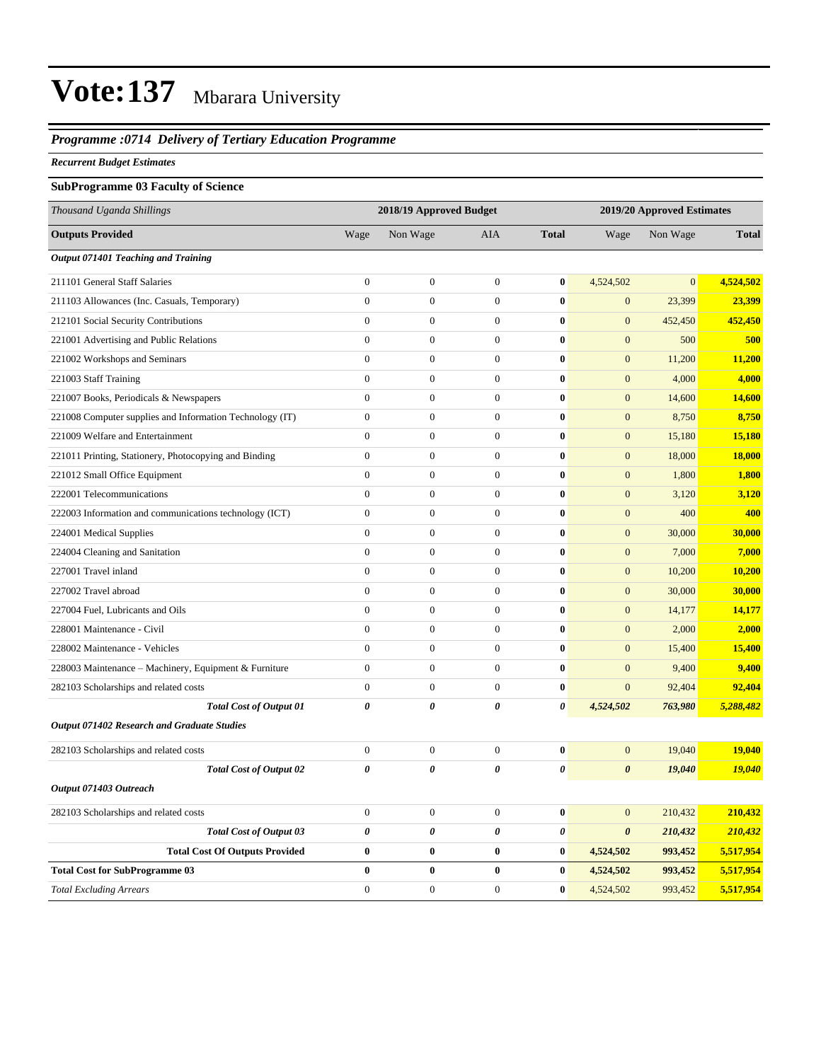#### *Programme :0714 Delivery of Tertiary Education Programme*

#### *Recurrent Budget Estimates*

#### **SubProgramme 03 Faculty of Science**

| Thousand Uganda Shillings                                |                       | 2018/19 Approved Budget |                  |                       | 2019/20 Approved Estimates |                |               |
|----------------------------------------------------------|-----------------------|-------------------------|------------------|-----------------------|----------------------------|----------------|---------------|
| <b>Outputs Provided</b>                                  | Wage                  | Non Wage                | AIA              | <b>Total</b>          | Wage                       | Non Wage       | <b>Total</b>  |
| Output 071401 Teaching and Training                      |                       |                         |                  |                       |                            |                |               |
| 211101 General Staff Salaries                            | $\overline{0}$        | $\boldsymbol{0}$        | $\boldsymbol{0}$ | $\boldsymbol{0}$      | 4,524,502                  | $\overline{0}$ | 4,524,502     |
| 211103 Allowances (Inc. Casuals, Temporary)              | $\boldsymbol{0}$      | $\boldsymbol{0}$        | $\boldsymbol{0}$ | $\bf{0}$              | $\mathbf{0}$               | 23,399         | 23,399        |
| 212101 Social Security Contributions                     | $\overline{0}$        | $\overline{0}$          | $\theta$         | $\bf{0}$              | $\mathbf{0}$               | 452,450        | 452,450       |
| 221001 Advertising and Public Relations                  | $\boldsymbol{0}$      | $\boldsymbol{0}$        | $\boldsymbol{0}$ | $\bf{0}$              | $\mathbf{0}$               | 500            | 500           |
| 221002 Workshops and Seminars                            | $\overline{0}$        | $\mathbf{0}$            | $\theta$         | $\bf{0}$              | $\boldsymbol{0}$           | 11,200         | 11,200        |
| 221003 Staff Training                                    | $\boldsymbol{0}$      | $\boldsymbol{0}$        | $\boldsymbol{0}$ | $\bf{0}$              | $\mathbf{0}$               | 4,000          | 4,000         |
| 221007 Books, Periodicals & Newspapers                   | $\overline{0}$        | $\boldsymbol{0}$        | $\theta$         | $\bf{0}$              | $\boldsymbol{0}$           | 14,600         | 14,600        |
| 221008 Computer supplies and Information Technology (IT) | $\boldsymbol{0}$      | $\boldsymbol{0}$        | $\boldsymbol{0}$ | $\bf{0}$              | $\overline{0}$             | 8,750          | 8,750         |
| 221009 Welfare and Entertainment                         | $\overline{0}$        | $\boldsymbol{0}$        | $\boldsymbol{0}$ | $\boldsymbol{0}$      | $\boldsymbol{0}$           | 15,180         | 15,180        |
| 221011 Printing, Stationery, Photocopying and Binding    | $\boldsymbol{0}$      | $\boldsymbol{0}$        | $\boldsymbol{0}$ | $\bf{0}$              | $\mathbf{0}$               | 18,000         | 18,000        |
| 221012 Small Office Equipment                            | $\boldsymbol{0}$      | $\boldsymbol{0}$        | $\boldsymbol{0}$ | $\bf{0}$              | $\mathbf{0}$               | 1,800          | 1,800         |
| 222001 Telecommunications                                | $\boldsymbol{0}$      | $\boldsymbol{0}$        | $\boldsymbol{0}$ | $\bf{0}$              | $\mathbf{0}$               | 3,120          | 3,120         |
| 222003 Information and communications technology (ICT)   | $\overline{0}$        | $\boldsymbol{0}$        | $\boldsymbol{0}$ | $\bf{0}$              | $\mathbf{0}$               | 400            | 400           |
| 224001 Medical Supplies                                  | $\mathbf{0}$          | $\boldsymbol{0}$        | $\boldsymbol{0}$ | $\bf{0}$              | $\boldsymbol{0}$           | 30,000         | 30,000        |
| 224004 Cleaning and Sanitation                           | $\overline{0}$        | $\boldsymbol{0}$        | $\boldsymbol{0}$ | $\bf{0}$              | $\mathbf{0}$               | 7,000          | 7,000         |
| 227001 Travel inland                                     | $\boldsymbol{0}$      | $\boldsymbol{0}$        | $\boldsymbol{0}$ | $\bf{0}$              | $\mathbf{0}$               | 10,200         | 10,200        |
| 227002 Travel abroad                                     | $\overline{0}$        | $\boldsymbol{0}$        | $\boldsymbol{0}$ | $\bf{0}$              | $\mathbf{0}$               | 30,000         | 30,000        |
| 227004 Fuel, Lubricants and Oils                         | $\boldsymbol{0}$      | $\boldsymbol{0}$        | $\boldsymbol{0}$ | $\bf{0}$              | $\mathbf{0}$               | 14,177         | 14,177        |
| 228001 Maintenance - Civil                               | $\overline{0}$        | $\boldsymbol{0}$        | $\boldsymbol{0}$ | $\bf{0}$              | $\mathbf{0}$               | 2,000          | 2,000         |
| 228002 Maintenance - Vehicles                            | $\boldsymbol{0}$      | $\boldsymbol{0}$        | $\boldsymbol{0}$ | $\bf{0}$              | $\mathbf{0}$               | 15,400         | 15,400        |
| 228003 Maintenance - Machinery, Equipment & Furniture    | $\overline{0}$        | $\boldsymbol{0}$        | $\boldsymbol{0}$ | $\bf{0}$              | $\mathbf{0}$               | 9,400          | 9,400         |
| 282103 Scholarships and related costs                    | $\boldsymbol{0}$      | $\boldsymbol{0}$        | $\boldsymbol{0}$ | $\bf{0}$              | $\mathbf{0}$               | 92,404         | 92,404        |
| <b>Total Cost of Output 01</b>                           | 0                     | 0                       | 0                | 0                     | 4,524,502                  | 763,980        | 5,288,482     |
| <b>Output 071402 Research and Graduate Studies</b>       |                       |                         |                  |                       |                            |                |               |
| 282103 Scholarships and related costs                    | $\boldsymbol{0}$      | $\boldsymbol{0}$        | $\boldsymbol{0}$ | $\bf{0}$              | $\mathbf{0}$               | 19,040         | 19,040        |
| <b>Total Cost of Output 02</b>                           | $\boldsymbol{\theta}$ | 0                       | 0                | $\boldsymbol{\theta}$ | $\boldsymbol{\theta}$      | 19,040         | <b>19,040</b> |
| Output 071403 Outreach                                   |                       |                         |                  |                       |                            |                |               |
| 282103 Scholarships and related costs                    | $\boldsymbol{0}$      | $\boldsymbol{0}$        | $\boldsymbol{0}$ | $\bf{0}$              | $\mathbf{0}$               | 210,432        | 210,432       |
| <b>Total Cost of Output 03</b>                           | $\pmb{\theta}$        | 0                       | 0                | 0                     | $\boldsymbol{\theta}$      | 210,432        | 210,432       |
| <b>Total Cost Of Outputs Provided</b>                    | $\bf{0}$              | $\bf{0}$                | $\bf{0}$         | $\bf{0}$              | 4,524,502                  | 993,452        | 5,517,954     |
| <b>Total Cost for SubProgramme 03</b>                    | 0                     | $\bf{0}$                | $\bf{0}$         | $\bf{0}$              | 4,524,502                  | 993,452        | 5,517,954     |
| <b>Total Excluding Arrears</b>                           | $\overline{0}$        | $\boldsymbol{0}$        | $\theta$         | $\bf{0}$              | 4,524,502                  | 993,452        | 5,517,954     |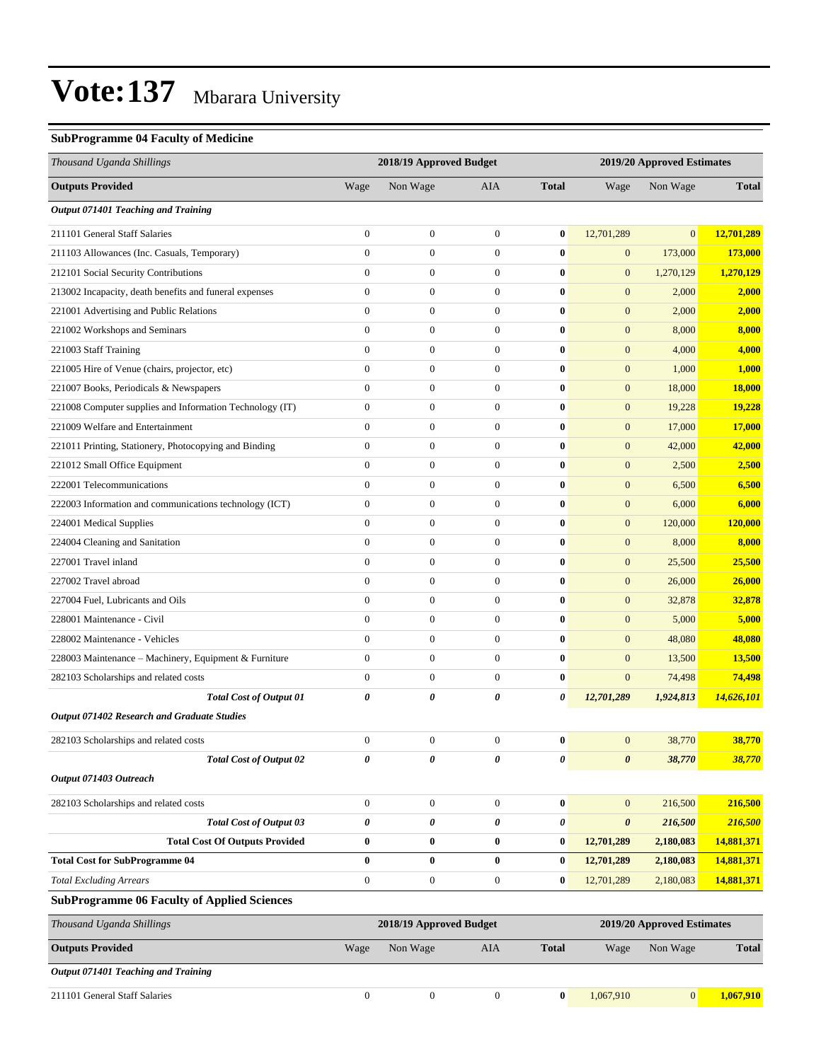#### **SubProgramme 04 Faculty of Medicine**

| Thousand Uganda Shillings                                |                  | 2018/19 Approved Budget |                  |              | 2019/20 Approved Estimates |                            |              |
|----------------------------------------------------------|------------------|-------------------------|------------------|--------------|----------------------------|----------------------------|--------------|
| <b>Outputs Provided</b>                                  | Wage             | Non Wage                | AIA              | <b>Total</b> | Wage                       | Non Wage                   | <b>Total</b> |
| Output 071401 Teaching and Training                      |                  |                         |                  |              |                            |                            |              |
| 211101 General Staff Salaries                            | $\mathbf{0}$     | $\boldsymbol{0}$        | $\boldsymbol{0}$ | $\bf{0}$     | 12,701,289                 | $\mathbf{0}$               | 12,701,289   |
| 211103 Allowances (Inc. Casuals, Temporary)              | $\mathbf{0}$     | $\boldsymbol{0}$        | $\mathbf{0}$     | $\bf{0}$     | $\boldsymbol{0}$           | 173,000                    | 173,000      |
| 212101 Social Security Contributions                     | $\mathbf{0}$     | $\boldsymbol{0}$        | $\boldsymbol{0}$ | 0            | $\boldsymbol{0}$           | 1,270,129                  | 1,270,129    |
| 213002 Incapacity, death benefits and funeral expenses   | $\mathbf{0}$     | $\boldsymbol{0}$        | $\boldsymbol{0}$ | $\bf{0}$     | $\boldsymbol{0}$           | 2,000                      | 2,000        |
| 221001 Advertising and Public Relations                  | $\mathbf{0}$     | $\boldsymbol{0}$        | $\boldsymbol{0}$ | 0            | $\boldsymbol{0}$           | 2,000                      | 2,000        |
| 221002 Workshops and Seminars                            | $\mathbf{0}$     | $\boldsymbol{0}$        | $\boldsymbol{0}$ | $\bf{0}$     | $\boldsymbol{0}$           | 8,000                      | 8,000        |
| 221003 Staff Training                                    | $\mathbf{0}$     | $\boldsymbol{0}$        | $\boldsymbol{0}$ | $\bf{0}$     | $\boldsymbol{0}$           | 4,000                      | 4,000        |
| 221005 Hire of Venue (chairs, projector, etc)            | $\mathbf{0}$     | $\boldsymbol{0}$        | $\boldsymbol{0}$ | $\bf{0}$     | $\boldsymbol{0}$           | 1,000                      | 1,000        |
| 221007 Books, Periodicals & Newspapers                   | $\mathbf{0}$     | $\boldsymbol{0}$        | $\boldsymbol{0}$ | $\bf{0}$     | $\mathbf{0}$               | 18,000                     | 18,000       |
| 221008 Computer supplies and Information Technology (IT) | $\boldsymbol{0}$ | $\boldsymbol{0}$        | $\boldsymbol{0}$ | 0            | $\boldsymbol{0}$           | 19,228                     | 19,228       |
| 221009 Welfare and Entertainment                         | $\mathbf{0}$     | $\boldsymbol{0}$        | $\boldsymbol{0}$ | $\bf{0}$     | $\boldsymbol{0}$           | 17,000                     | 17,000       |
| 221011 Printing, Stationery, Photocopying and Binding    | $\mathbf{0}$     | $\boldsymbol{0}$        | $\boldsymbol{0}$ | $\bf{0}$     | $\boldsymbol{0}$           | 42,000                     | 42,000       |
| 221012 Small Office Equipment                            | $\mathbf{0}$     | $\boldsymbol{0}$        | $\boldsymbol{0}$ | $\bf{0}$     | $\boldsymbol{0}$           | 2,500                      | 2,500        |
| 222001 Telecommunications                                | $\mathbf{0}$     | $\boldsymbol{0}$        | $\boldsymbol{0}$ | $\bf{0}$     | $\mathbf{0}$               | 6,500                      | 6,500        |
| 222003 Information and communications technology (ICT)   | $\boldsymbol{0}$ | $\boldsymbol{0}$        | $\boldsymbol{0}$ | 0            | $\boldsymbol{0}$           | 6,000                      | 6,000        |
| 224001 Medical Supplies                                  | $\mathbf{0}$     | $\boldsymbol{0}$        | $\boldsymbol{0}$ | $\bf{0}$     | $\boldsymbol{0}$           | 120,000                    | 120,000      |
| 224004 Cleaning and Sanitation                           | $\mathbf{0}$     | $\boldsymbol{0}$        | $\boldsymbol{0}$ | $\bf{0}$     | $\mathbf{0}$               | 8,000                      | 8,000        |
| 227001 Travel inland                                     | $\mathbf{0}$     | $\boldsymbol{0}$        | $\boldsymbol{0}$ | $\bf{0}$     | $\boldsymbol{0}$           | 25,500                     | 25,500       |
| 227002 Travel abroad                                     | $\mathbf{0}$     | $\boldsymbol{0}$        | $\boldsymbol{0}$ | $\bf{0}$     | $\mathbf{0}$               | 26,000                     | 26,000       |
| 227004 Fuel, Lubricants and Oils                         | $\boldsymbol{0}$ | $\boldsymbol{0}$        | $\boldsymbol{0}$ | 0            | $\boldsymbol{0}$           | 32,878                     | 32,878       |
| 228001 Maintenance - Civil                               | $\mathbf{0}$     | $\boldsymbol{0}$        | $\boldsymbol{0}$ | $\bf{0}$     | $\mathbf{0}$               | 5,000                      | 5,000        |
| 228002 Maintenance - Vehicles                            | $\mathbf{0}$     | $\boldsymbol{0}$        | $\boldsymbol{0}$ | $\bf{0}$     | $\mathbf{0}$               | 48,080                     | 48,080       |
| 228003 Maintenance - Machinery, Equipment & Furniture    | $\boldsymbol{0}$ | $\boldsymbol{0}$        | $\boldsymbol{0}$ | $\bf{0}$     | $\mathbf{0}$               | 13,500                     | 13,500       |
| 282103 Scholarships and related costs                    | $\mathbf{0}$     | $\boldsymbol{0}$        | $\boldsymbol{0}$ | $\bf{0}$     | $\mathbf{0}$               | 74,498                     | 74,498       |
| <b>Total Cost of Output 01</b>                           | 0                | 0                       | 0                | 0            | 12,701,289                 | 1,924,813                  | 14,626,101   |
| <b>Output 071402 Research and Graduate Studies</b>       |                  |                         |                  |              |                            |                            |              |
| 282103 Scholarships and related costs                    | $\mathbf{0}$     | $\boldsymbol{0}$        | $\boldsymbol{0}$ | $\bf{0}$     | $\mathbf{0}$               | 38,770                     | 38,770       |
| <b>Total Cost of Output 02</b>                           | 0                | 0                       | 0                | 0            | $\boldsymbol{\theta}$      | 38,770                     | 38,770       |
| Output 071403 Outreach                                   |                  |                         |                  |              |                            |                            |              |
| 282103 Scholarships and related costs                    | $\mathbf{0}$     | $\boldsymbol{0}$        | $\overline{0}$   | $\bf{0}$     | $\boldsymbol{0}$           | 216,500                    | 216,500      |
| <b>Total Cost of Output 03</b>                           | $\pmb{\theta}$   | 0                       | 0                | 0            | $\pmb{\theta}$             | 216,500                    | 216,500      |
| <b>Total Cost Of Outputs Provided</b>                    | $\bf{0}$         | $\bf{0}$                | $\bf{0}$         | 0            | 12,701,289                 | 2,180,083                  | 14,881,371   |
| <b>Total Cost for SubProgramme 04</b>                    | $\bf{0}$         | $\bf{0}$                | $\bf{0}$         | $\bf{0}$     | 12,701,289                 | 2,180,083                  | 14,881,371   |
| <b>Total Excluding Arrears</b>                           | $\mathbf{0}$     | $\boldsymbol{0}$        | $\boldsymbol{0}$ | $\bf{0}$     | 12,701,289                 | 2,180,083                  | 14,881,371   |
| <b>SubProgramme 06 Faculty of Applied Sciences</b>       |                  |                         |                  |              |                            |                            |              |
| Thousand Uganda Shillings                                |                  | 2018/19 Approved Budget |                  |              |                            | 2019/20 Approved Estimates |              |
| <b>Outputs Provided</b>                                  | Wage             | Non Wage                | AIA              | <b>Total</b> | Wage                       | Non Wage                   | <b>Total</b> |
| Output 071401 Teaching and Training                      |                  |                         |                  |              |                            |                            |              |
| 211101 General Staff Salaries                            | $\boldsymbol{0}$ | $\boldsymbol{0}$        | $\boldsymbol{0}$ | $\bf{0}$     | 1,067,910                  | $\vert 0 \vert$            | 1,067,910    |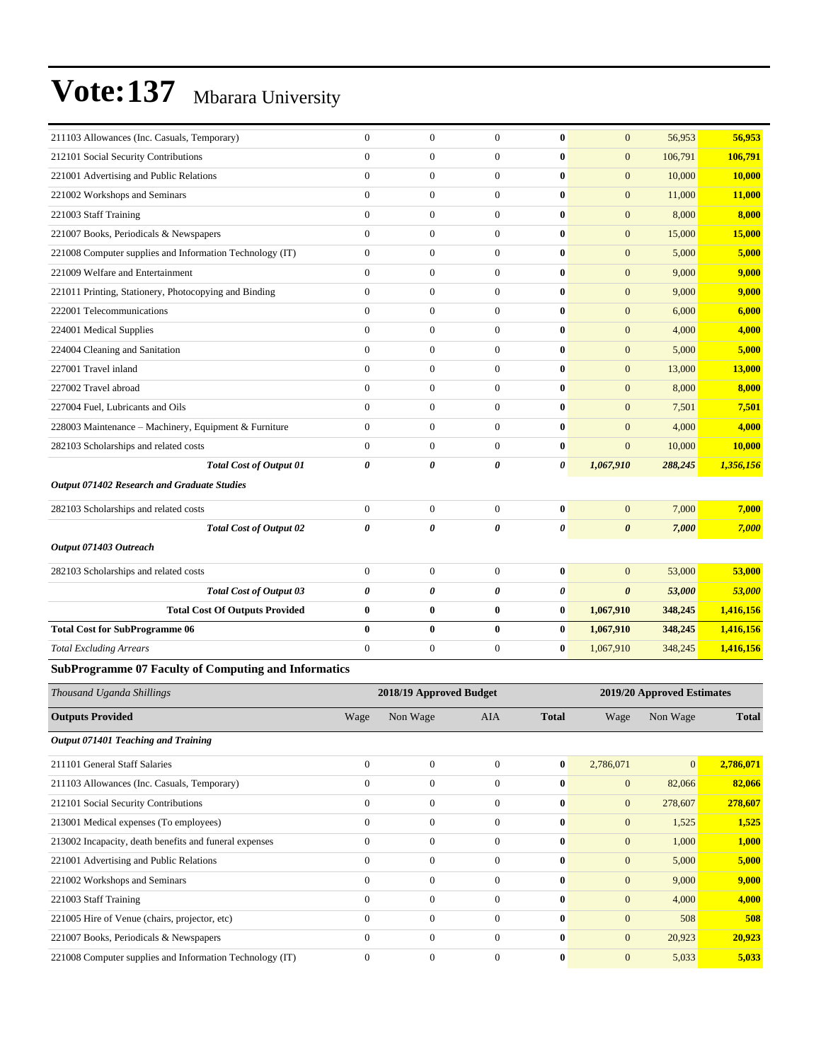| 211103 Allowances (Inc. Casuals, Temporary)                 | $\mathbf{0}$          | $\mathbf{0}$     | $\overline{0}$   | $\mathbf{0}$ | $\mathbf{0}$          | 56,953  | 56,953        |
|-------------------------------------------------------------|-----------------------|------------------|------------------|--------------|-----------------------|---------|---------------|
| 212101 Social Security Contributions                        | $\mathbf{0}$          | $\boldsymbol{0}$ | $\overline{0}$   | $\bf{0}$     | $\mathbf{0}$          | 106,791 | 106,791       |
| 221001 Advertising and Public Relations                     | $\theta$              | $\mathbf{0}$     | $\overline{0}$   | $\mathbf{0}$ | $\mathbf{0}$          | 10,000  | 10,000        |
| 221002 Workshops and Seminars                               | $\Omega$              | $\overline{0}$   | $\overline{0}$   | $\mathbf{0}$ | $\mathbf{0}$          | 11,000  | 11,000        |
| 221003 Staff Training                                       | $\overline{0}$        | $\boldsymbol{0}$ | $\boldsymbol{0}$ | $\bf{0}$     | $\mathbf{0}$          | 8,000   | 8,000         |
| 221007 Books, Periodicals & Newspapers                      | $\mathbf{0}$          | $\boldsymbol{0}$ | $\mathbf{0}$     | $\mathbf{0}$ | $\mathbf{0}$          | 15,000  | 15,000        |
| 221008 Computer supplies and Information Technology (IT)    | $\mathbf{0}$          | $\overline{0}$   | $\mathbf{0}$     | $\mathbf{0}$ | $\mathbf{0}$          | 5,000   | 5,000         |
| 221009 Welfare and Entertainment                            | $\mathbf{0}$          | $\boldsymbol{0}$ | $\overline{0}$   | $\bf{0}$     | $\mathbf{0}$          | 9,000   | 9,000         |
| 221011 Printing, Stationery, Photocopying and Binding       | $\mathbf{0}$          | $\boldsymbol{0}$ | $\overline{0}$   | $\bf{0}$     | $\mathbf{0}$          | 9,000   | 9,000         |
| 222001 Telecommunications                                   | $\mathbf{0}$          | $\overline{0}$   | $\mathbf{0}$     | $\bf{0}$     | $\mathbf{0}$          | 6,000   | 6,000         |
| 224001 Medical Supplies                                     | $\theta$              | $\overline{0}$   | $\overline{0}$   | $\mathbf{0}$ | $\mathbf{0}$          | 4,000   | 4,000         |
| 224004 Cleaning and Sanitation                              | $\mathbf{0}$          | $\boldsymbol{0}$ | $\boldsymbol{0}$ | $\bf{0}$     | $\mathbf{0}$          | 5,000   | 5,000         |
| 227001 Travel inland                                        | $\overline{0}$        | $\boldsymbol{0}$ | $\overline{0}$   | $\bf{0}$     | $\mathbf{0}$          | 13,000  | <b>13,000</b> |
| 227002 Travel abroad                                        | $\theta$              | $\overline{0}$   | $\mathbf{0}$     | $\mathbf{0}$ | $\mathbf{0}$          | 8,000   | 8,000         |
| 227004 Fuel, Lubricants and Oils                            | $\overline{0}$        | $\boldsymbol{0}$ | $\overline{0}$   | $\bf{0}$     | $\mathbf{0}$          | 7,501   | 7,501         |
| 228003 Maintenance - Machinery, Equipment & Furniture       | $\overline{0}$        | $\boldsymbol{0}$ | $\overline{0}$   | $\bf{0}$     | $\mathbf{0}$          | 4,000   | 4,000         |
| 282103 Scholarships and related costs                       | $\Omega$              | $\boldsymbol{0}$ | $\mathbf{0}$     | $\bf{0}$     | $\overline{0}$        | 10,000  | 10,000        |
| <b>Total Cost of Output 01</b>                              | $\boldsymbol{\theta}$ | 0                | 0                | 0            | 1,067,910             | 288,245 | 1,356,156     |
| Output 071402 Research and Graduate Studies                 |                       |                  |                  |              |                       |         |               |
| 282103 Scholarships and related costs                       | $\overline{0}$        | $\boldsymbol{0}$ | $\boldsymbol{0}$ | $\bf{0}$     | $\mathbf{0}$          | 7,000   | 7,000         |
| <b>Total Cost of Output 02</b>                              | 0                     | $\theta$         | 0                | 0            | $\theta$              | 7,000   | 7,000         |
| Output 071403 Outreach                                      |                       |                  |                  |              |                       |         |               |
| 282103 Scholarships and related costs                       | $\mathbf{0}$          | $\boldsymbol{0}$ | $\overline{0}$   | $\bf{0}$     | $\overline{0}$        | 53,000  | 53,000        |
| <b>Total Cost of Output 03</b>                              | 0                     | 0                | 0                | 0            | $\boldsymbol{\theta}$ | 53,000  | 53,000        |
| <b>Total Cost Of Outputs Provided</b>                       | $\bf{0}$              | $\bf{0}$         | $\bf{0}$         | $\bf{0}$     | 1,067,910             | 348,245 | 1,416,156     |
| <b>Total Cost for SubProgramme 06</b>                       | $\bf{0}$              | $\bf{0}$         | $\bf{0}$         | $\bf{0}$     | 1,067,910             | 348,245 | 1,416,156     |
| <b>Total Excluding Arrears</b>                              | $\mathbf{0}$          | $\boldsymbol{0}$ | $\boldsymbol{0}$ | $\bf{0}$     | 1,067,910             | 348,245 | 1,416,156     |
| <b>SubProgramme 07 Faculty of Computing and Informatics</b> |                       |                  |                  |              |                       |         |               |

| Thousand Uganda Shillings                                |                | 2018/19 Approved Budget |                |              | 2019/20 Approved Estimates |              |              |  |
|----------------------------------------------------------|----------------|-------------------------|----------------|--------------|----------------------------|--------------|--------------|--|
| <b>Outputs Provided</b>                                  | Wage           | Non Wage                | <b>AIA</b>     | <b>Total</b> | Wage                       | Non Wage     | <b>Total</b> |  |
| Output 071401 Teaching and Training                      |                |                         |                |              |                            |              |              |  |
| 211101 General Staff Salaries                            | $\mathbf{0}$   | $\overline{0}$          | $\Omega$       | $\bf{0}$     | 2,786,071                  | $\mathbf{0}$ | 2,786,071    |  |
| 211103 Allowances (Inc. Casuals, Temporary)              | $\mathbf{0}$   | $\overline{0}$          | $\overline{0}$ | $\bf{0}$     | $\mathbf{0}$               | 82,066       | 82,066       |  |
| 212101 Social Security Contributions                     | $\mathbf{0}$   | $\mathbf{0}$            | $\mathbf{0}$   | $\mathbf{0}$ | $\mathbf{0}$               | 278,607      | 278,607      |  |
| 213001 Medical expenses (To employees)                   | $\theta$       | $\boldsymbol{0}$        | $\Omega$       | $\bf{0}$     | $\mathbf{0}$               | 1,525        | 1,525        |  |
| 213002 Incapacity, death benefits and funeral expenses   | $\Omega$       | $\boldsymbol{0}$        | $\Omega$       | $\mathbf{0}$ | $\mathbf{0}$               | 1,000        | 1,000        |  |
| 221001 Advertising and Public Relations                  | $\overline{0}$ | $\boldsymbol{0}$        | $\Omega$       | $\mathbf{0}$ | $\mathbf{0}$               | 5,000        | 5,000        |  |
| 221002 Workshops and Seminars                            | $\mathbf{0}$   | $\overline{0}$          | $\Omega$       | $\mathbf{0}$ | $\mathbf{0}$               | 9,000        | 9,000        |  |
| 221003 Staff Training                                    | $\theta$       | $\boldsymbol{0}$        | $\overline{0}$ | $\bf{0}$     | $\mathbf{0}$               | 4,000        | 4,000        |  |
| 221005 Hire of Venue (chairs, projector, etc)            | $\theta$       | $\boldsymbol{0}$        | $\Omega$       | $\bf{0}$     | $\overline{0}$             | 508          | 508          |  |
| 221007 Books, Periodicals & Newspapers                   | $\theta$       | $\boldsymbol{0}$        | $\mathbf{0}$   | $\mathbf{0}$ | $\mathbf{0}$               | 20,923       | 20,923       |  |
| 221008 Computer supplies and Information Technology (IT) | $\Omega$       | $\Omega$                | $\Omega$       | $\bf{0}$     | $\mathbf{0}$               | 5,033        | 5,033        |  |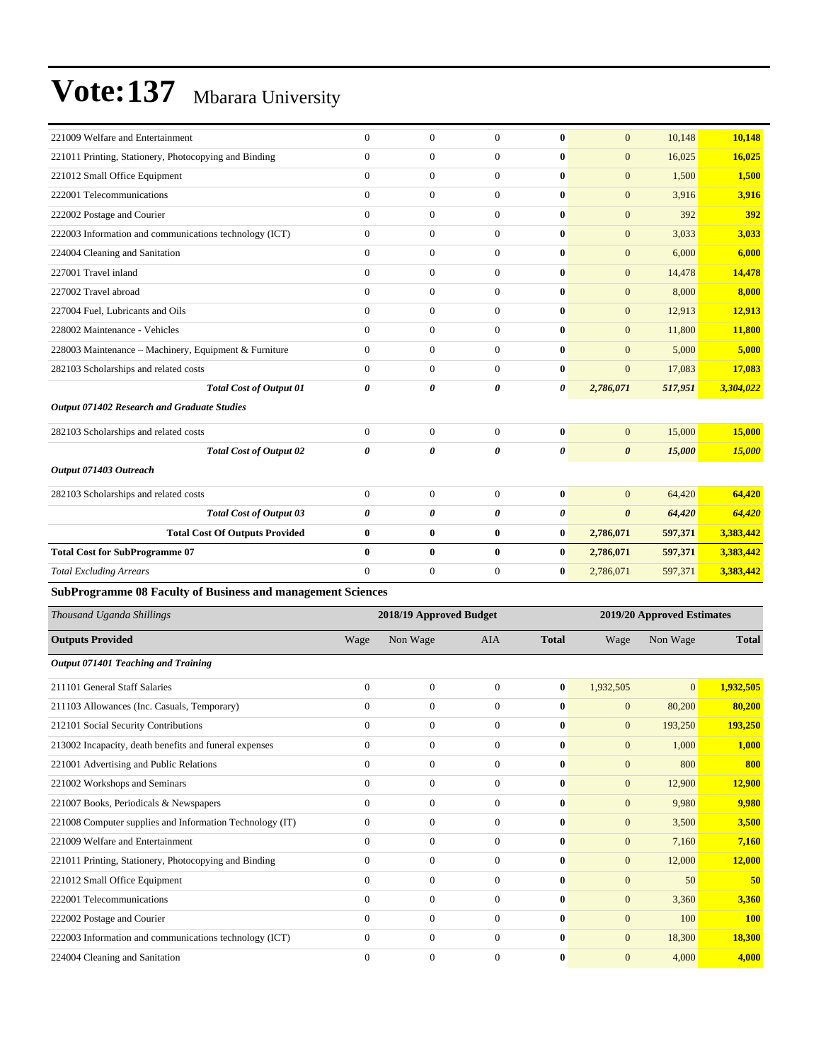| 221009 Welfare and Entertainment                                   | $\overline{0}$   | $\overline{0}$          | $\overline{0}$   | $\bf{0}$     | $\mathbf{0}$          | 10,148                     | 10,148       |
|--------------------------------------------------------------------|------------------|-------------------------|------------------|--------------|-----------------------|----------------------------|--------------|
| 221011 Printing, Stationery, Photocopying and Binding              | $\mathbf{0}$     | $\boldsymbol{0}$        | $\overline{0}$   | $\bf{0}$     | $\mathbf{0}$          | 16,025                     | 16,025       |
| 221012 Small Office Equipment                                      | $\mathbf{0}$     | $\boldsymbol{0}$        | $\boldsymbol{0}$ | $\bf{0}$     | $\mathbf{0}$          | 1,500                      | 1,500        |
| 222001 Telecommunications                                          | $\mathbf{0}$     | $\boldsymbol{0}$        | $\boldsymbol{0}$ | $\bf{0}$     | $\mathbf{0}$          | 3,916                      | 3,916        |
| 222002 Postage and Courier                                         | $\overline{0}$   | $\boldsymbol{0}$        | $\boldsymbol{0}$ | $\bf{0}$     | $\mathbf{0}$          | 392                        | <b>392</b>   |
| 222003 Information and communications technology (ICT)             | $\mathbf{0}$     | $\boldsymbol{0}$        | $\overline{0}$   | $\bf{0}$     | $\mathbf{0}$          | 3,033                      | 3,033        |
| 224004 Cleaning and Sanitation                                     | $\mathbf{0}$     | $\boldsymbol{0}$        | $\boldsymbol{0}$ | $\bf{0}$     | $\mathbf{0}$          | 6,000                      | 6,000        |
| 227001 Travel inland                                               | $\mathbf{0}$     | $\boldsymbol{0}$        | $\boldsymbol{0}$ | $\bf{0}$     | $\mathbf{0}$          | 14,478                     | 14,478       |
| 227002 Travel abroad                                               | $\mathbf{0}$     | $\boldsymbol{0}$        | $\boldsymbol{0}$ | $\bf{0}$     | $\mathbf{0}$          | 8,000                      | 8,000        |
| 227004 Fuel, Lubricants and Oils                                   | $\mathbf{0}$     | $\boldsymbol{0}$        | $\boldsymbol{0}$ | $\bf{0}$     | $\mathbf{0}$          | 12,913                     | 12,913       |
| 228002 Maintenance - Vehicles                                      | $\mathbf{0}$     | $\boldsymbol{0}$        | $\boldsymbol{0}$ | $\bf{0}$     | $\mathbf{0}$          | 11,800                     | 11,800       |
| 228003 Maintenance - Machinery, Equipment & Furniture              | $\mathbf{0}$     | $\boldsymbol{0}$        | $\boldsymbol{0}$ | $\bf{0}$     | $\mathbf{0}$          | 5,000                      | 5,000        |
| 282103 Scholarships and related costs                              | $\boldsymbol{0}$ | $\boldsymbol{0}$        | $\boldsymbol{0}$ | $\bf{0}$     | $\mathbf{0}$          | 17,083                     | 17,083       |
| <b>Total Cost of Output 01</b>                                     | 0                | 0                       | 0                | 0            | 2,786,071             | 517,951                    | 3,304,022    |
| Output 071402 Research and Graduate Studies                        |                  |                         |                  |              |                       |                            |              |
| 282103 Scholarships and related costs                              | $\mathbf{0}$     | $\boldsymbol{0}$        | $\boldsymbol{0}$ | $\bf{0}$     | $\mathbf{0}$          | 15,000                     | 15,000       |
| <b>Total Cost of Output 02</b>                                     | 0                | 0                       | 0                | 0            | $\boldsymbol{\theta}$ | 15,000                     | 15,000       |
| Output 071403 Outreach                                             |                  |                         |                  |              |                       |                            |              |
| 282103 Scholarships and related costs                              | $\mathbf{0}$     | $\boldsymbol{0}$        | $\boldsymbol{0}$ | $\bf{0}$     | $\mathbf{0}$          | 64,420                     | 64,420       |
| <b>Total Cost of Output 03</b>                                     | 0                | 0                       | 0                | 0            | $\boldsymbol{\theta}$ | 64,420                     | 64,420       |
| <b>Total Cost Of Outputs Provided</b>                              | $\bf{0}$         | 0                       | $\bf{0}$         | $\bf{0}$     | 2,786,071             | 597,371                    | 3,383,442    |
| <b>Total Cost for SubProgramme 07</b>                              | $\mathbf{0}$     | $\bf{0}$                | $\bf{0}$         | $\bf{0}$     | 2,786,071             | 597,371                    | 3,383,442    |
| <b>Total Excluding Arrears</b>                                     | $\overline{0}$   | $\boldsymbol{0}$        | $\boldsymbol{0}$ | $\bf{0}$     | 2,786,071             | 597,371                    | 3,383,442    |
| <b>SubProgramme 08 Faculty of Business and management Sciences</b> |                  |                         |                  |              |                       |                            |              |
| Thousand Uganda Shillings                                          |                  | 2018/19 Approved Budget |                  |              |                       | 2019/20 Approved Estimates |              |
| <b>Outputs Provided</b>                                            | Wage             | Non Wage                | <b>AIA</b>       | <b>Total</b> | Wage                  | Non Wage                   | <b>Total</b> |
| Output 071401 Teaching and Training                                |                  |                         |                  |              |                       |                            |              |
| 211101 General Staff Salaries                                      | $\mathbf{0}$     | $\boldsymbol{0}$        | $\boldsymbol{0}$ | $\bf{0}$     | 1,932,505             | $\overline{0}$             | 1,932,505    |
| 211103 Allowances (Inc. Casuals, Temporary)                        | $\mathbf{0}$     | $\boldsymbol{0}$        | $\boldsymbol{0}$ | $\bf{0}$     | $\mathbf{0}$          | 80,200                     | 80,200       |
| 212101 Social Security Contributions                               | $\boldsymbol{0}$ | $\boldsymbol{0}$        | 0                | $\bf{0}$     | $\boldsymbol{0}$      | 193,250                    | 193.250      |
| 213002 Incapacity, death benefits and funeral expenses             | $\mathbf{0}$     | $\boldsymbol{0}$        | $\boldsymbol{0}$ | $\bf{0}$     | $\mathbf{0}$          | 1,000                      | 1,000        |
| 221001 Advertising and Public Relations                            | $\boldsymbol{0}$ | $\boldsymbol{0}$        | $\boldsymbol{0}$ | $\bf{0}$     | $\mathbf{0}$          | 800                        | 800          |
| 221002 Workshops and Seminars                                      | $\mathbf{0}$     | $\boldsymbol{0}$        | $\boldsymbol{0}$ | $\bf{0}$     | $\mathbf{0}$          | 12,900                     | 12,900       |
| 221007 Books, Periodicals & Newspapers                             | $\boldsymbol{0}$ | $\boldsymbol{0}$        | $\boldsymbol{0}$ | $\bf{0}$     | $\mathbf{0}$          | 9,980                      | 9,980        |
| 221008 Computer supplies and Information Technology (IT)           | $\boldsymbol{0}$ | $\boldsymbol{0}$        | $\boldsymbol{0}$ | $\bf{0}$     | $\mathbf{0}$          | 3,500                      | 3,500        |
| 221009 Welfare and Entertainment                                   | $\boldsymbol{0}$ | $\boldsymbol{0}$        | $\boldsymbol{0}$ | $\bf{0}$     | $\mathbf{0}$          | 7,160                      | 7,160        |
| 221011 Printing, Stationery, Photocopying and Binding              | $\boldsymbol{0}$ | $\boldsymbol{0}$        | $\boldsymbol{0}$ | $\bf{0}$     | $\mathbf{0}$          | 12,000                     | 12,000       |
| 221012 Small Office Equipment                                      | $\mathbf{0}$     | $\boldsymbol{0}$        | $\boldsymbol{0}$ | $\bf{0}$     | $\boldsymbol{0}$      | 50                         | 50           |
| 222001 Telecommunications                                          | $\boldsymbol{0}$ | $\boldsymbol{0}$        | $\boldsymbol{0}$ | $\bf{0}$     | $\mathbf{0}$          | 3,360                      | 3,360        |
| 222002 Postage and Courier                                         | $\boldsymbol{0}$ | $\boldsymbol{0}$        | $\boldsymbol{0}$ | $\bf{0}$     | $\mathbf{0}$          | 100                        | <b>100</b>   |
| 222003 Information and communications technology (ICT)             | $\boldsymbol{0}$ | $\boldsymbol{0}$        | $\boldsymbol{0}$ | $\bf{0}$     | $\mathbf{0}$          | 18,300                     | 18,300       |
| 224004 Cleaning and Sanitation                                     | $\boldsymbol{0}$ | $\boldsymbol{0}$        | $\boldsymbol{0}$ | $\bf{0}$     | $\mathbf{0}$          | 4,000                      | 4,000        |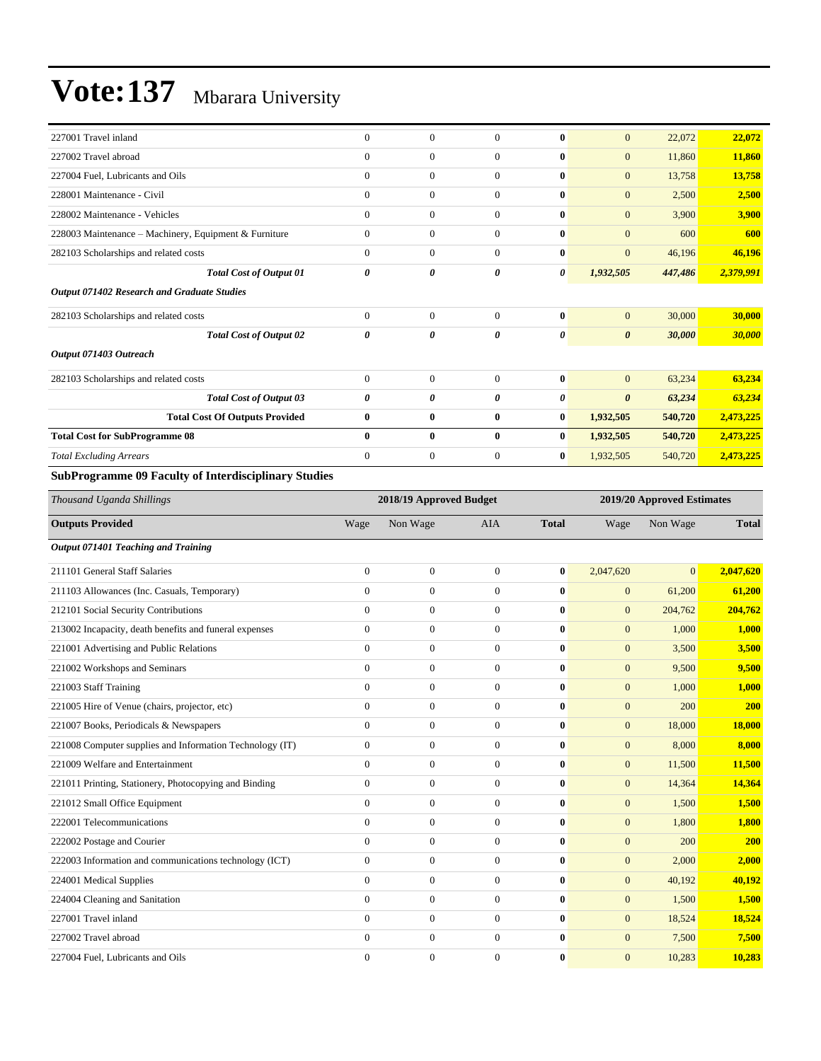| 227001 Travel inland                                                        | $\Omega$              | $\theta$       | $\Omega$       | $\bf{0}$     | $\overline{0}$        | 22,072  | 22,072    |
|-----------------------------------------------------------------------------|-----------------------|----------------|----------------|--------------|-----------------------|---------|-----------|
| 227002 Travel abroad                                                        | $\theta$              | $\overline{0}$ | $\Omega$       | $\bf{0}$     | $\mathbf{0}$          | 11,860  | 11,860    |
| 227004 Fuel, Lubricants and Oils                                            | $\Omega$              | $\overline{0}$ | $\Omega$       | $\bf{0}$     | $\overline{0}$        | 13,758  | 13,758    |
| 228001 Maintenance - Civil                                                  | $\mathbf{0}$          | $\overline{0}$ | $\Omega$       | $\bf{0}$     | $\overline{0}$        | 2,500   | 2,500     |
| 228002 Maintenance - Vehicles                                               | $\mathbf{0}$          | $\overline{0}$ | $\mathbf{0}$   | $\bf{0}$     | $\overline{0}$        | 3,900   | 3,900     |
| 228003 Maintenance - Machinery, Equipment & Furniture                       | $\theta$              | $\overline{0}$ | $\overline{0}$ | $\mathbf{0}$ | $\mathbf{0}$          | 600     | 600       |
| 282103 Scholarships and related costs                                       | $\mathbf{0}$          | $\overline{0}$ | $\overline{0}$ | $\mathbf{0}$ | $\mathbf{0}$          | 46,196  | 46,196    |
| <b>Total Cost of Output 01</b>                                              | 0                     | 0              | 0              | 0            | 1,932,505             | 447,486 | 2,379,991 |
| <b>Output 071402 Research and Graduate Studies</b>                          |                       |                |                |              |                       |         |           |
| 282103 Scholarships and related costs                                       | $\Omega$              | $\overline{0}$ | $\Omega$       | $\bf{0}$     | $\mathbf{0}$          | 30,000  | 30,000    |
| <b>Total Cost of Output 02</b>                                              | $\boldsymbol{\theta}$ | 0              | 0              | 0            | $\boldsymbol{\theta}$ | 30,000  | 30,000    |
| Output 071403 Outreach                                                      |                       |                |                |              |                       |         |           |
| 282103 Scholarships and related costs                                       | $\mathbf{0}$          | $\overline{0}$ | $\overline{0}$ | $\mathbf{0}$ | $\mathbf{0}$          | 63,234  | 63,234    |
| <b>Total Cost of Output 03</b>                                              | $\theta$              | 0              | 0              | 0            | $\boldsymbol{\theta}$ | 63,234  | 63,234    |
| <b>Total Cost Of Outputs Provided</b>                                       | $\bf{0}$              | $\bf{0}$       | $\bf{0}$       | $\bf{0}$     | 1,932,505             | 540,720 | 2,473,225 |
| <b>Total Cost for SubProgramme 08</b>                                       | $\mathbf{0}$          | $\bf{0}$       | $\bf{0}$       | $\bf{0}$     | 1,932,505             | 540,720 | 2,473,225 |
| <b>Total Excluding Arrears</b>                                              | $\mathbf{0}$          | $\mathbf{0}$   | $\overline{0}$ | $\bf{0}$     | 1,932,505             | 540,720 | 2,473,225 |
| $\alpha$ in<br>00T<br>$0.71$ $1.71$ $1.71$<br>$\sim$ $\sim$<br>$\mathbf{u}$ |                       |                |                |              |                       |         |           |

#### **SubProgramme 09 Faculty of Interdisciplinary Studies**

| Thousand Uganda Shillings                                |                | 2018/19 Approved Budget |                |              |                | 2019/20 Approved Estimates |               |  |
|----------------------------------------------------------|----------------|-------------------------|----------------|--------------|----------------|----------------------------|---------------|--|
| <b>Outputs Provided</b>                                  | Wage           | Non Wage                | <b>AIA</b>     | <b>Total</b> | Wage           | Non Wage                   | <b>Total</b>  |  |
| Output 071401 Teaching and Training                      |                |                         |                |              |                |                            |               |  |
| 211101 General Staff Salaries                            | $\overline{0}$ | $\overline{0}$          | $\Omega$       | $\bf{0}$     | 2,047,620      | $\Omega$                   | 2,047,620     |  |
| 211103 Allowances (Inc. Casuals, Temporary)              | $\overline{0}$ | $\overline{0}$          | $\overline{0}$ | $\bf{0}$     | $\mathbf{0}$   | 61,200                     | 61,200        |  |
| 212101 Social Security Contributions                     | $\overline{0}$ | $\boldsymbol{0}$        | $\overline{0}$ | $\bf{0}$     | $\overline{0}$ | 204,762                    | 204,762       |  |
| 213002 Incapacity, death benefits and funeral expenses   | $\overline{0}$ | $\boldsymbol{0}$        | $\mathbf{0}$   | $\mathbf{0}$ | $\mathbf{0}$   | 1,000                      | 1,000         |  |
| 221001 Advertising and Public Relations                  | $\overline{0}$ | $\boldsymbol{0}$        | $\overline{0}$ | $\mathbf{0}$ | $\mathbf{0}$   | 3,500                      | 3,500         |  |
| 221002 Workshops and Seminars                            | $\overline{0}$ | $\boldsymbol{0}$        | $\overline{0}$ | $\mathbf{0}$ | $\mathbf{0}$   | 9,500                      | 9,500         |  |
| 221003 Staff Training                                    | $\mathbf{0}$   | $\mathbf{0}$            | $\mathbf{0}$   | $\bf{0}$     | $\mathbf{0}$   | 1,000                      | 1,000         |  |
| 221005 Hire of Venue (chairs, projector, etc)            | $\overline{0}$ | $\mathbf{0}$            | $\mathbf{0}$   | $\mathbf{0}$ | $\mathbf{0}$   | 200                        | 200           |  |
| 221007 Books, Periodicals & Newspapers                   | $\Omega$       | $\mathbf{0}$            | $\Omega$       | $\mathbf{0}$ | $\overline{0}$ | 18,000                     | <b>18,000</b> |  |
| 221008 Computer supplies and Information Technology (IT) | $\overline{0}$ | $\boldsymbol{0}$        | $\mathbf{0}$   | $\mathbf{0}$ | $\mathbf{0}$   | 8,000                      | 8,000         |  |
| 221009 Welfare and Entertainment                         | $\overline{0}$ | $\boldsymbol{0}$        | $\overline{0}$ | $\bf{0}$     | $\mathbf{0}$   | 11,500                     | 11,500        |  |
| 221011 Printing, Stationery, Photocopying and Binding    | $\overline{0}$ | $\boldsymbol{0}$        | $\mathbf{0}$   | $\mathbf{0}$ | $\mathbf{0}$   | 14,364                     | 14,364        |  |
| 221012 Small Office Equipment                            | $\Omega$       | $\boldsymbol{0}$        | $\Omega$       | $\mathbf{0}$ | $\mathbf{0}$   | 1,500                      | 1,500         |  |
| 222001 Telecommunications                                | $\overline{0}$ | $\overline{0}$          | $\mathbf{0}$   | $\bf{0}$     | $\mathbf{0}$   | 1,800                      | 1,800         |  |
| 222002 Postage and Courier                               | $\theta$       | $\overline{0}$          | $\mathbf{0}$   | $\mathbf{0}$ | $\overline{0}$ | 200                        | 200           |  |
| 222003 Information and communications technology (ICT)   | $\mathbf{0}$   | $\mathbf{0}$            | $\mathbf{0}$   | $\bf{0}$     | $\mathbf{0}$   | 2,000                      | 2,000         |  |
| 224001 Medical Supplies                                  | $\theta$       | $\overline{0}$          | $\Omega$       | $\mathbf{0}$ | $\mathbf{0}$   | 40,192                     | 40,192        |  |
| 224004 Cleaning and Sanitation                           | $\overline{0}$ | $\mathbf{0}$            | $\mathbf{0}$   | $\mathbf{0}$ | $\mathbf{0}$   | 1,500                      | 1,500         |  |
| 227001 Travel inland                                     | $\overline{0}$ | $\boldsymbol{0}$        | $\overline{0}$ | $\bf{0}$     | $\mathbf{0}$   | 18,524                     | 18,524        |  |
| 227002 Travel abroad                                     | $\theta$       | $\boldsymbol{0}$        | $\Omega$       | $\mathbf{0}$ | $\overline{0}$ | 7,500                      | 7,500         |  |
| 227004 Fuel. Lubricants and Oils                         | $\theta$       | $\mathbf{0}$            | $\Omega$       | $\mathbf{0}$ | $\overline{0}$ | 10.283                     | 10,283        |  |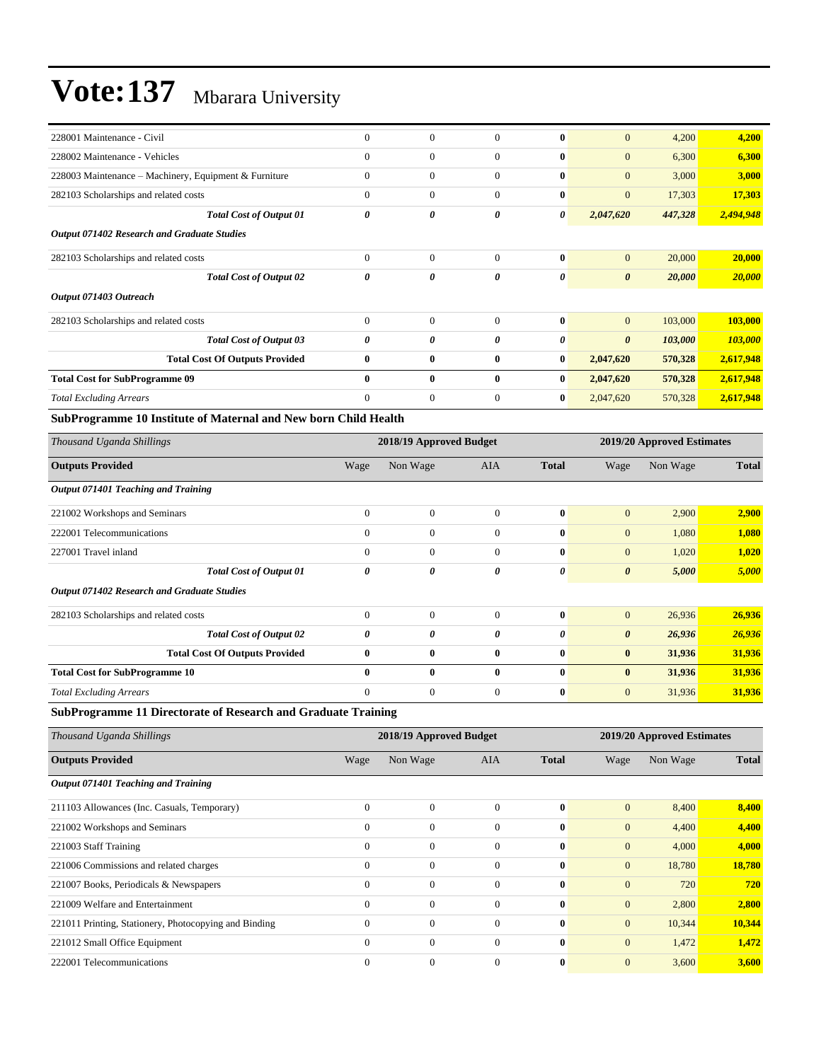| 228001 Maintenance - Civil                            | $\mathbf{0}$ | $\mathbf{0}$     | $\Omega$       | $\bf{0}$     | $\mathbf{0}$          | 4,200   | 4,200     |
|-------------------------------------------------------|--------------|------------------|----------------|--------------|-----------------------|---------|-----------|
| 228002 Maintenance - Vehicles                         | $\theta$     | $\boldsymbol{0}$ | $\overline{0}$ | $\bf{0}$     | $\mathbf{0}$          | 6,300   | 6,300     |
| 228003 Maintenance – Machinery, Equipment & Furniture | $\Omega$     | $\boldsymbol{0}$ | $\Omega$       | $\bf{0}$     | $\mathbf{0}$          | 3,000   | 3,000     |
| 282103 Scholarships and related costs                 | $\mathbf{0}$ | $\overline{0}$   | $\overline{0}$ | $\bf{0}$     | $\mathbf{0}$          | 17,303  | 17,303    |
| <b>Total Cost of Output 01</b>                        | 0            | 0                | 0              | 0            | 2,047,620             | 447,328 | 2,494,948 |
| <b>Output 071402 Research and Graduate Studies</b>    |              |                  |                |              |                       |         |           |
| 282103 Scholarships and related costs                 | $\mathbf{0}$ | $\overline{0}$   | $\Omega$       | $\mathbf{0}$ | $\mathbf{0}$          | 20,000  | 20,000    |
| <b>Total Cost of Output 02</b>                        | 0            | 0                | 0              | 0            | $\boldsymbol{\theta}$ | 20,000  | 20,000    |
| Output 071403 Outreach                                |              |                  |                |              |                       |         |           |
| 282103 Scholarships and related costs                 | $\mathbf{0}$ | $\overline{0}$   | $\Omega$       | $\mathbf{0}$ | $\mathbf{0}$          | 103,000 | 103,000   |
| <b>Total Cost of Output 03</b>                        | 0            | 0                | 0              | 0            | $\boldsymbol{\theta}$ | 103,000 | 103,000   |
| <b>Total Cost Of Outputs Provided</b>                 | $\bf{0}$     | $\bf{0}$         | $\bf{0}$       | $\bf{0}$     | 2,047,620             | 570,328 | 2,617,948 |
| <b>Total Cost for SubProgramme 09</b>                 | $\mathbf{0}$ | $\mathbf{0}$     | $\bf{0}$       | $\bf{0}$     | 2,047,620             | 570,328 | 2,617,948 |
| <b>Total Excluding Arrears</b>                        | $\mathbf{0}$ | $\overline{0}$   | $\overline{0}$ | $\bf{0}$     | 2,047,620             | 570,328 | 2,617,948 |
|                                                       |              |                  |                |              |                       |         |           |

**SubProgramme 10 Institute of Maternal and New born Child Health**

| Thousand Uganda Shillings                          |              | 2018/19 Approved Budget |              |              |                       | 2019/20 Approved Estimates |              |  |  |
|----------------------------------------------------|--------------|-------------------------|--------------|--------------|-----------------------|----------------------------|--------------|--|--|
| <b>Outputs Provided</b>                            | Wage         | Non Wage                | AIA          | <b>Total</b> | Wage                  | Non Wage                   | <b>Total</b> |  |  |
| Output 071401 Teaching and Training                |              |                         |              |              |                       |                            |              |  |  |
| 221002 Workshops and Seminars                      | $\mathbf{0}$ | $\mathbf{0}$            | $\Omega$     | $\bf{0}$     | $\mathbf{0}$          | 2,900                      | 2,900        |  |  |
| 222001 Telecommunications                          | $\mathbf{0}$ | $\Omega$                | $\Omega$     | $\bf{0}$     | $\mathbf{0}$          | 1,080                      | 1,080        |  |  |
| 227001 Travel inland                               | $\mathbf{0}$ | $\mathbf{0}$            | $\Omega$     | $\bf{0}$     | $\mathbf{0}$          | 1,020                      | 1,020        |  |  |
| <b>Total Cost of Output 01</b>                     | 0            | 0                       | 0            | 0            | $\boldsymbol{\theta}$ | 5,000                      | 5,000        |  |  |
| <b>Output 071402 Research and Graduate Studies</b> |              |                         |              |              |                       |                            |              |  |  |
| 282103 Scholarships and related costs              | $\mathbf{0}$ | $\mathbf{0}$            | $\theta$     | $\bf{0}$     | $\mathbf{0}$          | 26,936                     | 26,936       |  |  |
| <b>Total Cost of Output 02</b>                     | 0            | 0                       | 0            | 0            | $\boldsymbol{\theta}$ | 26,936                     | 26,936       |  |  |
| <b>Total Cost Of Outputs Provided</b>              | $\bf{0}$     | $\bf{0}$                | $\bf{0}$     | $\bf{0}$     | $\bf{0}$              | 31,936                     | 31,936       |  |  |
| <b>Total Cost for SubProgramme 10</b>              | $\bf{0}$     | $\mathbf{0}$            | $\mathbf{0}$ | $\bf{0}$     | $\bf{0}$              | 31,936                     | 31,936       |  |  |
| <b>Total Excluding Arrears</b>                     | $\mathbf{0}$ | $\mathbf{0}$            | $\theta$     | $\bf{0}$     | $\mathbf{0}$          | 31,936                     | 31,936       |  |  |

#### **SubProgramme 11 Directorate of Research and Graduate Training**

| Thousand Uganda Shillings                             | 2018/19 Approved Budget |              |              |              |                | 2019/20 Approved Estimates |              |  |
|-------------------------------------------------------|-------------------------|--------------|--------------|--------------|----------------|----------------------------|--------------|--|
| <b>Outputs Provided</b>                               | Wage                    | Non Wage     | <b>AIA</b>   | <b>Total</b> | Wage           | Non Wage                   | <b>Total</b> |  |
| Output 071401 Teaching and Training                   |                         |              |              |              |                |                            |              |  |
| 211103 Allowances (Inc. Casuals, Temporary)           | $\Omega$                | $\mathbf{0}$ | $\Omega$     | $\mathbf{0}$ | $\overline{0}$ | 8,400                      | 8,400        |  |
| 221002 Workshops and Seminars                         | $\Omega$                | $\mathbf{0}$ | $\Omega$     | $\mathbf{0}$ | $\overline{0}$ | 4,400                      | 4,400        |  |
| 221003 Staff Training                                 | $\theta$                | $\mathbf{0}$ | $\mathbf{0}$ | $\mathbf{0}$ | $\overline{0}$ | 4,000                      | 4,000        |  |
| 221006 Commissions and related charges                | $\Omega$                | $\mathbf{0}$ | $\Omega$     | $\mathbf{0}$ | $\overline{0}$ | 18,780                     | 18,780       |  |
| 221007 Books, Periodicals & Newspapers                | $\Omega$                | $\mathbf{0}$ | $\Omega$     | $\mathbf{0}$ | $\mathbf{0}$   | 720                        | 720          |  |
| 221009 Welfare and Entertainment                      | $\Omega$                | $\mathbf{0}$ | $\Omega$     | $\mathbf{0}$ | $\overline{0}$ | 2,800                      | 2,800        |  |
| 221011 Printing, Stationery, Photocopying and Binding | $\Omega$                | $\mathbf{0}$ | $\Omega$     | $\mathbf{0}$ | $\overline{0}$ | 10,344                     | 10,344       |  |
| 221012 Small Office Equipment                         | $\overline{0}$          | $\mathbf{0}$ | $\mathbf{0}$ | $\mathbf{0}$ | $\overline{0}$ | 1,472                      | 1,472        |  |
| 222001 Telecommunications                             | $\Omega$                | $\mathbf{0}$ | $\Omega$     | $\mathbf{0}$ | $\mathbf{0}$   | 3,600                      | 3,600        |  |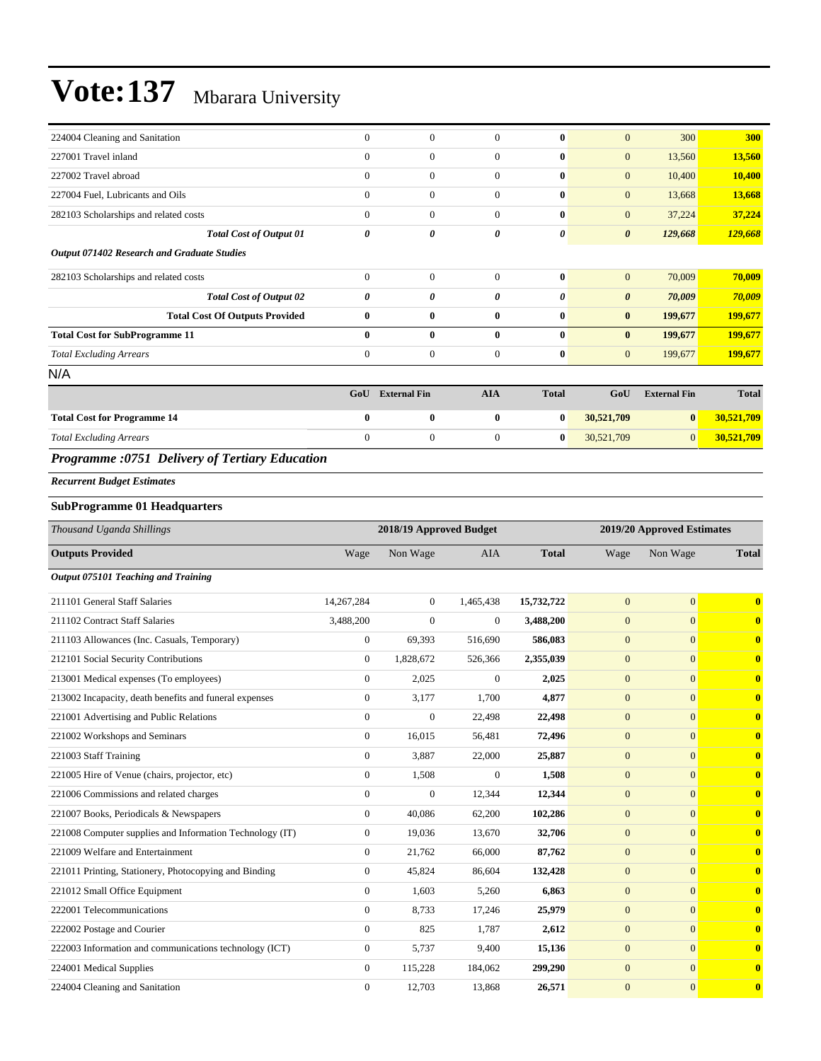| 224004 Cleaning and Sanitation                                                           | $\mathbf{0}$   | $\mathbf{0}$        | $\Omega$       | $\mathbf{0}$ | $\mathbf{0}$          | 300                 | 300          |
|------------------------------------------------------------------------------------------|----------------|---------------------|----------------|--------------|-----------------------|---------------------|--------------|
| 227001 Travel inland                                                                     | $\mathbf{0}$   | $\mathbf{0}$        | $\mathbf{0}$   | $\bf{0}$     | $\mathbf{0}$          | 13,560              | 13,560       |
| 227002 Travel abroad                                                                     | $\mathbf{0}$   | $\mathbf{0}$        | $\mathbf{0}$   | $\bf{0}$     | $\mathbf{0}$          | 10,400              | 10,400       |
| 227004 Fuel, Lubricants and Oils                                                         | $\overline{0}$ | $\mathbf{0}$        | $\mathbf{0}$   | $\bf{0}$     | $\mathbf{0}$          | 13,668              | 13,668       |
| 282103 Scholarships and related costs                                                    | $\overline{0}$ | $\mathbf{0}$        | $\overline{0}$ | $\bf{0}$     | $\overline{0}$        | 37,224              | 37,224       |
| <b>Total Cost of Output 01</b>                                                           | 0              | 0                   | 0              | 0            | $\boldsymbol{\theta}$ | 129,668             | 129,668      |
| Output 071402 Research and Graduate Studies                                              |                |                     |                |              |                       |                     |              |
| 282103 Scholarships and related costs                                                    | $\overline{0}$ | $\mathbf{0}$        | $\mathbf{0}$   | $\bf{0}$     | $\overline{0}$        | 70,009              | 70,009       |
| <b>Total Cost of Output 02</b>                                                           | 0              | 0                   | 0              | 0            | $\boldsymbol{\theta}$ | 70,009              | 70,009       |
| <b>Total Cost Of Outputs Provided</b>                                                    | $\bf{0}$       | $\bf{0}$            | $\bf{0}$       | $\bf{0}$     | $\bf{0}$              | 199,677             | 199,677      |
| <b>Total Cost for SubProgramme 11</b>                                                    | 0              | $\mathbf{0}$        | $\mathbf{0}$   | $\bf{0}$     | $\bf{0}$              | 199,677             | 199,677      |
| <b>Total Excluding Arrears</b>                                                           | $\overline{0}$ | $\mathbf{0}$        | $\overline{0}$ | $\bf{0}$     | $\mathbf{0}$          | 199,677             | 199,677      |
| N/A                                                                                      |                |                     |                |              |                       |                     |              |
|                                                                                          | GoU            | <b>External Fin</b> | <b>AIA</b>     | <b>Total</b> | GoU                   | <b>External Fin</b> | <b>Total</b> |
| <b>Total Cost for Programme 14</b>                                                       | $\bf{0}$       | $\bf{0}$            | $\bf{0}$       | $\bf{0}$     | 30,521,709            | $\bf{0}$            | 30,521,709   |
| <b>Total Excluding Arrears</b>                                                           | $\overline{0}$ | $\mathbf{0}$        | $\overline{0}$ | $\bf{0}$     | 30,521,709            | $\overline{0}$      | 30,521,709   |
| $\sim$<br>$\sim - - - - - - - - - - - - - - - - - - - - - - -$<br>$\sim$ $\sim$<br>$- -$ |                |                     |                |              |                       |                     |              |

#### *Programme :0751 Delivery of Tertiary Education*

*Recurrent Budget Estimates*

#### **SubProgramme 01 Headquarters**

| Thousand Uganda Shillings                                |              | 2018/19 Approved Budget |                  | 2019/20 Approved Estimates |                |                |              |
|----------------------------------------------------------|--------------|-------------------------|------------------|----------------------------|----------------|----------------|--------------|
| <b>Outputs Provided</b>                                  | Wage         | Non Wage                | <b>AIA</b>       | <b>Total</b>               | Wage           | Non Wage       | <b>Total</b> |
| Output 075101 Teaching and Training                      |              |                         |                  |                            |                |                |              |
| 211101 General Staff Salaries                            | 14,267,284   | $\overline{0}$          | 1,465,438        | 15,732,722                 | $\mathbf{0}$   | $\overline{0}$ | $\mathbf{0}$ |
| 211102 Contract Staff Salaries                           | 3,488,200    | $\mathbf{0}$            | $\boldsymbol{0}$ | 3,488,200                  | $\mathbf{0}$   | $\overline{0}$ | $\bf{0}$     |
| 211103 Allowances (Inc. Casuals, Temporary)              | $\mathbf{0}$ | 69,393                  | 516,690          | 586,083                    | $\mathbf{0}$   | $\overline{0}$ | $\mathbf{0}$ |
| 212101 Social Security Contributions                     | $\mathbf{0}$ | 1,828,672               | 526,366          | 2,355,039                  | $\mathbf{0}$   | $\overline{0}$ | $\bf{0}$     |
| 213001 Medical expenses (To employees)                   | $\mathbf{0}$ | 2,025                   | $\mathbf{0}$     | 2,025                      | $\mathbf{0}$   | $\Omega$       | $\mathbf{0}$ |
| 213002 Incapacity, death benefits and funeral expenses   | $\mathbf{0}$ | 3,177                   | 1,700            | 4,877                      | $\mathbf{0}$   | $\Omega$       | $\bf{0}$     |
| 221001 Advertising and Public Relations                  | $\mathbf{0}$ | $\mathbf{0}$            | 22,498           | 22,498                     | $\mathbf{0}$   | $\overline{0}$ | $\bf{0}$     |
| 221002 Workshops and Seminars                            | $\mathbf{0}$ | 16,015                  | 56,481           | 72,496                     | $\mathbf{0}$   | $\overline{0}$ | $\bf{0}$     |
| 221003 Staff Training                                    | $\mathbf{0}$ | 3,887                   | 22,000           | 25,887                     | $\mathbf{0}$   | $\Omega$       | $\mathbf{0}$ |
| 221005 Hire of Venue (chairs, projector, etc)            | $\mathbf{0}$ | 1,508                   | $\boldsymbol{0}$ | 1,508                      | $\mathbf{0}$   | $\overline{0}$ | $\bf{0}$     |
| 221006 Commissions and related charges                   | $\mathbf{0}$ | $\mathbf{0}$            | 12,344           | 12,344                     | $\mathbf{0}$   | $\overline{0}$ | $\bf{0}$     |
| 221007 Books, Periodicals & Newspapers                   | $\mathbf{0}$ | 40,086                  | 62,200           | 102,286                    | $\mathbf{0}$   | $\Omega$       | $\bf{0}$     |
| 221008 Computer supplies and Information Technology (IT) | $\mathbf{0}$ | 19,036                  | 13,670           | 32,706                     | $\mathbf{0}$   | $\overline{0}$ | $\bf{0}$     |
| 221009 Welfare and Entertainment                         | $\mathbf{0}$ | 21,762                  | 66,000           | 87,762                     | $\mathbf{0}$   | $\overline{0}$ | $\bf{0}$     |
| 221011 Printing, Stationery, Photocopying and Binding    | $\mathbf{0}$ | 45,824                  | 86,604           | 132,428                    | $\mathbf{0}$   | $\overline{0}$ | $\bf{0}$     |
| 221012 Small Office Equipment                            | $\mathbf{0}$ | 1,603                   | 5,260            | 6,863                      | $\mathbf{0}$   | $\overline{0}$ | $\bf{0}$     |
| 222001 Telecommunications                                | $\mathbf{0}$ | 8,733                   | 17,246           | 25,979                     | $\overline{0}$ | $\overline{0}$ | $\mathbf{0}$ |
| 222002 Postage and Courier                               | $\mathbf{0}$ | 825                     | 1,787            | 2,612                      | $\mathbf{0}$   | $\overline{0}$ | $\bf{0}$     |
| 222003 Information and communications technology (ICT)   | $\mathbf{0}$ | 5,737                   | 9,400            | 15,136                     | $\overline{0}$ | $\overline{0}$ | $\bf{0}$     |
| 224001 Medical Supplies                                  | $\mathbf{0}$ | 115,228                 | 184,062          | 299,290                    | $\mathbf{0}$   | $\overline{0}$ | $\bf{0}$     |
| 224004 Cleaning and Sanitation                           | $\mathbf{0}$ | 12,703                  | 13,868           | 26,571                     | $\mathbf{0}$   | $\overline{0}$ | $\bf{0}$     |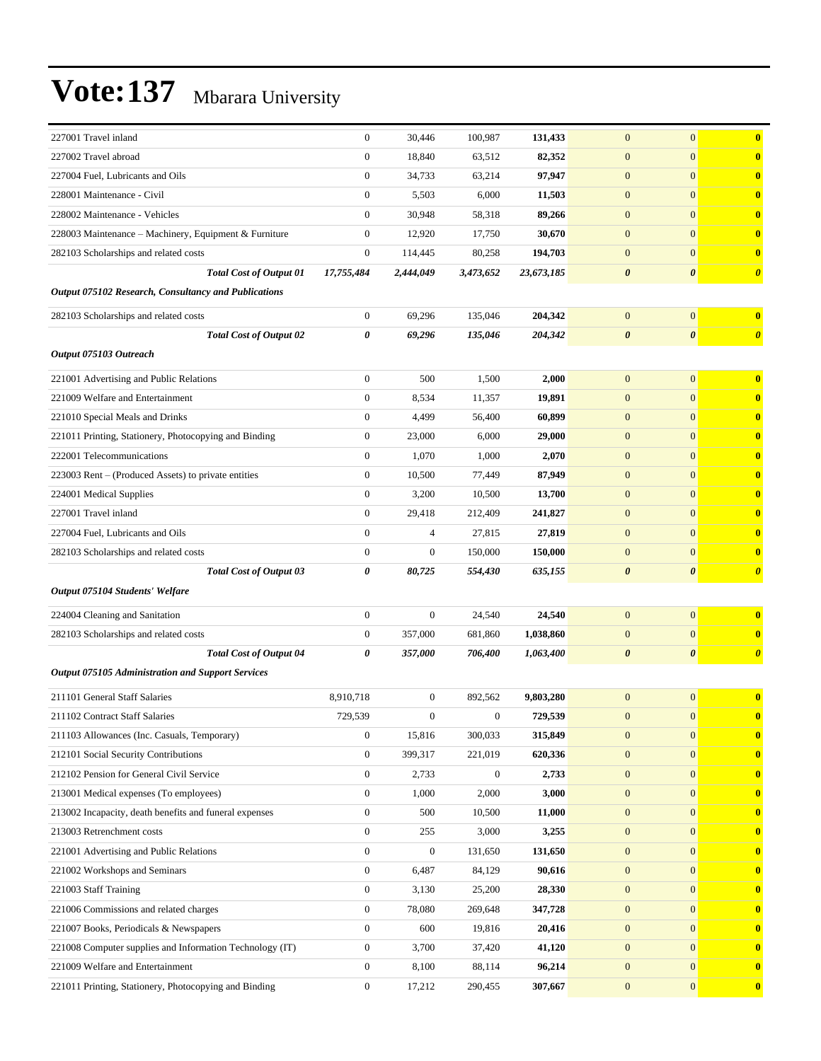| 227001 Travel inland                                     | $\boldsymbol{0}$ | 30,446           | 100,987          | 131,433    | $\boldsymbol{0}$      | $\mathbf{0}$          | $\bf{0}$              |
|----------------------------------------------------------|------------------|------------------|------------------|------------|-----------------------|-----------------------|-----------------------|
| 227002 Travel abroad                                     | $\boldsymbol{0}$ | 18,840           | 63,512           | 82,352     | $\boldsymbol{0}$      | $\mathbf{0}$          | $\mathbf{0}$          |
| 227004 Fuel, Lubricants and Oils                         | $\boldsymbol{0}$ | 34,733           | 63,214           | 97,947     | $\boldsymbol{0}$      | $\mathbf{0}$          | $\bf{0}$              |
| 228001 Maintenance - Civil                               | $\boldsymbol{0}$ | 5,503            | 6,000            | 11,503     | $\boldsymbol{0}$      | $\mathbf{0}$          | $\bf{0}$              |
| 228002 Maintenance - Vehicles                            | $\overline{0}$   | 30,948           | 58,318           | 89,266     | $\boldsymbol{0}$      | $\mathbf{0}$          | $\bf{0}$              |
| 228003 Maintenance - Machinery, Equipment & Furniture    | $\boldsymbol{0}$ | 12,920           | 17,750           | 30,670     | $\boldsymbol{0}$      | $\mathbf{0}$          | $\mathbf{0}$          |
| 282103 Scholarships and related costs                    | $\boldsymbol{0}$ | 114,445          | 80,258           | 194,703    | $\mathbf{0}$          | $\mathbf{0}$          | $\bf{0}$              |
| <b>Total Cost of Output 01</b>                           | 17,755,484       | 2,444,049        | 3,473,652        | 23,673,185 | $\boldsymbol{\theta}$ | $\boldsymbol{\theta}$ | $\boldsymbol{\theta}$ |
| Output 075102 Research, Consultancy and Publications     |                  |                  |                  |            |                       |                       |                       |
| 282103 Scholarships and related costs                    | $\boldsymbol{0}$ | 69,296           | 135,046          | 204,342    | $\boldsymbol{0}$      | $\mathbf{0}$          | $\bf{0}$              |
| <b>Total Cost of Output 02</b>                           | 0                | 69,296           | 135,046          | 204,342    | $\boldsymbol{\theta}$ | $\boldsymbol{\theta}$ | $\boldsymbol{\theta}$ |
| Output 075103 Outreach                                   |                  |                  |                  |            |                       |                       |                       |
| 221001 Advertising and Public Relations                  | $\boldsymbol{0}$ | 500              | 1,500            | 2,000      | $\boldsymbol{0}$      | $\mathbf{0}$          | $\bf{0}$              |
| 221009 Welfare and Entertainment                         | $\boldsymbol{0}$ | 8,534            | 11,357           | 19,891     | $\boldsymbol{0}$      | $\mathbf{0}$          | $\bf{0}$              |
| 221010 Special Meals and Drinks                          | $\boldsymbol{0}$ | 4,499            | 56,400           | 60,899     | $\boldsymbol{0}$      | $\mathbf{0}$          | $\bf{0}$              |
| 221011 Printing, Stationery, Photocopying and Binding    | $\boldsymbol{0}$ | 23,000           | 6,000            | 29,000     | $\boldsymbol{0}$      | $\mathbf{0}$          | $\bf{0}$              |
| 222001 Telecommunications                                | $\boldsymbol{0}$ | 1,070            | 1,000            | 2,070      | $\mathbf{0}$          | $\mathbf{0}$          | $\bf{0}$              |
| 223003 Rent - (Produced Assets) to private entities      | $\boldsymbol{0}$ | 10,500           | 77,449           | 87,949     | $\boldsymbol{0}$      | $\mathbf{0}$          | $\mathbf{0}$          |
| 224001 Medical Supplies                                  | $\boldsymbol{0}$ | 3,200            | 10,500           | 13,700     | $\boldsymbol{0}$      | $\mathbf{0}$          | $\bf{0}$              |
| 227001 Travel inland                                     | $\boldsymbol{0}$ | 29,418           | 212,409          | 241,827    | $\boldsymbol{0}$      | $\mathbf{0}$          | $\bf{0}$              |
| 227004 Fuel, Lubricants and Oils                         | $\overline{0}$   | 4                | 27,815           | 27,819     | $\boldsymbol{0}$      | $\mathbf{0}$          | $\bf{0}$              |
| 282103 Scholarships and related costs                    | $\boldsymbol{0}$ | $\mathbf{0}$     | 150,000          | 150,000    | $\mathbf{0}$          | $\mathbf{0}$          | $\bf{0}$              |
| <b>Total Cost of Output 03</b>                           | 0                | 80,725           | 554,430          | 635,155    | $\boldsymbol{\theta}$ | $\boldsymbol{\theta}$ | $\boldsymbol{\theta}$ |
| Output 075104 Students' Welfare                          |                  |                  |                  |            |                       |                       |                       |
| 224004 Cleaning and Sanitation                           | $\boldsymbol{0}$ | $\boldsymbol{0}$ | 24,540           | 24,540     | $\boldsymbol{0}$      | $\mathbf{0}$          | $\bf{0}$              |
| 282103 Scholarships and related costs                    | $\boldsymbol{0}$ | 357,000          | 681,860          | 1,038,860  | $\overline{0}$        | $\mathbf{0}$          | $\mathbf{0}$          |
| <b>Total Cost of Output 04</b>                           | 0                | 357,000          | 706,400          | 1,063,400  | 0                     | $\pmb{\theta}$        | $\boldsymbol{\theta}$ |
| <b>Output 075105 Administration and Support Services</b> |                  |                  |                  |            |                       |                       |                       |
| 211101 General Staff Salaries                            | 8,910,718        | $\boldsymbol{0}$ | 892,562          | 9,803,280  | $\boldsymbol{0}$      | $\mathbf{0}$          | $\bf{0}$              |
| 211102 Contract Staff Salaries                           | 729,539          | $\boldsymbol{0}$ | $\boldsymbol{0}$ | 729,539    | $\boldsymbol{0}$      | $\mathbf{0}$          | $\mathbf{0}$          |
| 211103 Allowances (Inc. Casuals, Temporary)              | $\boldsymbol{0}$ | 15,816           | 300,033          | 315,849    | $\boldsymbol{0}$      | $\boldsymbol{0}$      | $\bf{0}$              |
| 212101 Social Security Contributions                     | $\boldsymbol{0}$ | 399,317          | 221,019          | 620,336    | $\boldsymbol{0}$      | $\mathbf{0}$          | $\mathbf{0}$          |
| 212102 Pension for General Civil Service                 | $\boldsymbol{0}$ | 2,733            | $\boldsymbol{0}$ | 2,733      | $\boldsymbol{0}$      | $\mathbf{0}$          | $\mathbf{0}$          |
| 213001 Medical expenses (To employees)                   | 0                | 1,000            | 2,000            | 3,000      | $\boldsymbol{0}$      | $\mathbf{0}$          | $\mathbf{0}$          |
| 213002 Incapacity, death benefits and funeral expenses   | $\boldsymbol{0}$ | 500              | 10,500           | 11,000     | $\boldsymbol{0}$      | $\mathbf{0}$          | $\mathbf{0}$          |
| 213003 Retrenchment costs                                | $\boldsymbol{0}$ | 255              | 3,000            | 3,255      | $\boldsymbol{0}$      | $\mathbf{0}$          | $\mathbf{0}$          |
| 221001 Advertising and Public Relations                  | $\boldsymbol{0}$ | $\boldsymbol{0}$ | 131,650          | 131,650    | $\boldsymbol{0}$      | $\mathbf{0}$          | $\mathbf{0}$          |
| 221002 Workshops and Seminars                            | $\boldsymbol{0}$ | 6,487            | 84,129           | 90,616     | $\boldsymbol{0}$      | $\mathbf{0}$          | $\mathbf{0}$          |
| 221003 Staff Training                                    | 0                | 3,130            | 25,200           | 28,330     | $\boldsymbol{0}$      | $\mathbf{0}$          | $\mathbf{0}$          |
| 221006 Commissions and related charges                   | $\boldsymbol{0}$ | 78,080           | 269,648          | 347,728    | $\boldsymbol{0}$      | $\mathbf{0}$          | $\mathbf{0}$          |
| 221007 Books, Periodicals & Newspapers                   | $\boldsymbol{0}$ | 600              | 19,816           | 20,416     | $\boldsymbol{0}$      | $\mathbf{0}$          | $\mathbf{0}$          |
| 221008 Computer supplies and Information Technology (IT) | $\boldsymbol{0}$ | 3,700            | 37,420           | 41,120     | $\mathbf{0}$          | $\mathbf{0}$          | $\mathbf{0}$          |
| 221009 Welfare and Entertainment                         | $\boldsymbol{0}$ | 8,100            | 88,114           | 96,214     | $\boldsymbol{0}$      | $\mathbf{0}$          | $\mathbf{0}$          |
| 221011 Printing, Stationery, Photocopying and Binding    | $\boldsymbol{0}$ | 17,212           | 290,455          | 307,667    | $\boldsymbol{0}$      | $\boldsymbol{0}$      | $\mathbf{0}$          |
|                                                          |                  |                  |                  |            |                       |                       |                       |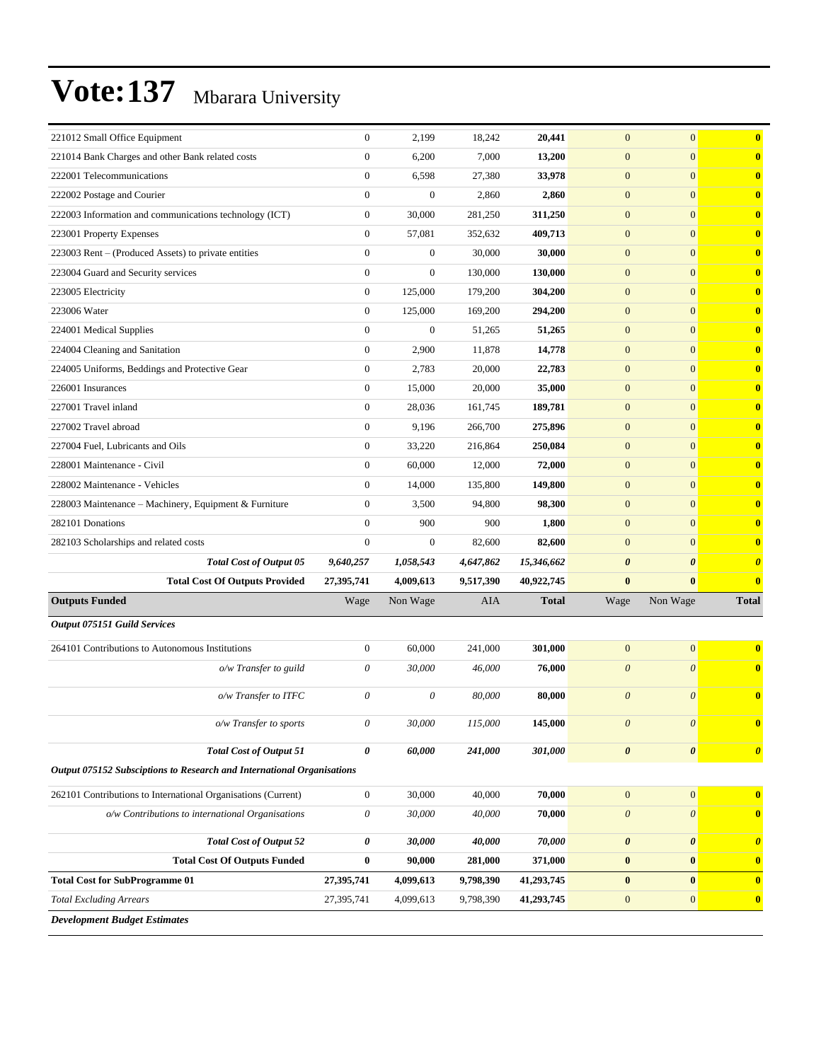| 221012 Small Office Equipment                                          | $\boldsymbol{0}$      | 2,199            | 18,242    | 20,441       | $\mathbf{0}$              | $\mathbf{0}$          | $\bf{0}$              |
|------------------------------------------------------------------------|-----------------------|------------------|-----------|--------------|---------------------------|-----------------------|-----------------------|
| 221014 Bank Charges and other Bank related costs                       | $\boldsymbol{0}$      | 6,200            | 7,000     | 13,200       | $\mathbf{0}$              | $\mathbf{0}$          | $\mathbf{0}$          |
| 222001 Telecommunications                                              | $\boldsymbol{0}$      | 6,598            | 27,380    | 33,978       | $\mathbf{0}$              | $\mathbf{0}$          | $\mathbf{0}$          |
| 222002 Postage and Courier                                             | $\boldsymbol{0}$      | $\boldsymbol{0}$ | 2,860     | 2,860        | $\mathbf{0}$              | $\mathbf{0}$          | $\bf{0}$              |
| 222003 Information and communications technology (ICT)                 | $\boldsymbol{0}$      | 30,000           | 281,250   | 311,250      | $\mathbf{0}$              | $\mathbf{0}$          | $\bf{0}$              |
| 223001 Property Expenses                                               | $\mathbf{0}$          | 57,081           | 352,632   | 409,713      | $\mathbf{0}$              | $\mathbf{0}$          | $\bf{0}$              |
| 223003 Rent - (Produced Assets) to private entities                    | $\overline{0}$        | $\boldsymbol{0}$ | 30,000    | 30,000       | $\mathbf{0}$              | $\mathbf{0}$          | $\mathbf{0}$          |
| 223004 Guard and Security services                                     | $\boldsymbol{0}$      | $\boldsymbol{0}$ | 130,000   | 130,000      | $\mathbf{0}$              | $\mathbf{0}$          | $\mathbf{0}$          |
| 223005 Electricity                                                     | $\boldsymbol{0}$      | 125,000          | 179,200   | 304,200      | $\mathbf{0}$              | $\mathbf{0}$          | $\bf{0}$              |
| 223006 Water                                                           | $\mathbf{0}$          | 125,000          | 169,200   | 294,200      | $\mathbf{0}$              | $\mathbf{0}$          | $\bf{0}$              |
| 224001 Medical Supplies                                                | $\mathbf{0}$          | $\boldsymbol{0}$ | 51,265    | 51,265       | $\mathbf{0}$              | $\mathbf{0}$          | $\bf{0}$              |
| 224004 Cleaning and Sanitation                                         | $\overline{0}$        | 2,900            | 11,878    | 14,778       | $\mathbf{0}$              | $\mathbf{0}$          | $\mathbf{0}$          |
| 224005 Uniforms, Beddings and Protective Gear                          | $\boldsymbol{0}$      | 2,783            | 20,000    | 22,783       | $\mathbf{0}$              | $\mathbf{0}$          | $\mathbf{0}$          |
| 226001 Insurances                                                      | $\boldsymbol{0}$      | 15,000           | 20,000    | 35,000       | $\mathbf{0}$              | $\mathbf{0}$          | $\bf{0}$              |
| 227001 Travel inland                                                   | $\mathbf{0}$          | 28,036           | 161,745   | 189,781      | $\mathbf{0}$              | $\mathbf{0}$          | $\bf{0}$              |
| 227002 Travel abroad                                                   | $\boldsymbol{0}$      | 9,196            | 266,700   | 275,896      | $\mathbf{0}$              | $\mathbf{0}$          | $\bf{0}$              |
| 227004 Fuel, Lubricants and Oils                                       | $\boldsymbol{0}$      | 33,220           | 216,864   | 250,084      | $\mathbf{0}$              | $\mathbf{0}$          | $\mathbf{0}$          |
| 228001 Maintenance - Civil                                             | $\boldsymbol{0}$      | 60,000           | 12,000    | 72,000       | $\mathbf{0}$              | $\mathbf{0}$          | $\mathbf{0}$          |
| 228002 Maintenance - Vehicles                                          | $\boldsymbol{0}$      | 14,000           | 135,800   | 149,800      | $\mathbf{0}$              | $\mathbf{0}$          | $\bf{0}$              |
| 228003 Maintenance - Machinery, Equipment & Furniture                  | $\overline{0}$        | 3,500            | 94,800    | 98,300       | $\mathbf{0}$              | $\mathbf{0}$          | $\bf{0}$              |
| 282101 Donations                                                       | $\mathbf{0}$          | 900              | 900       | 1,800        | $\mathbf{0}$              | $\mathbf{0}$          | $\bf{0}$              |
| 282103 Scholarships and related costs                                  | $\boldsymbol{0}$      | $\boldsymbol{0}$ | 82,600    | 82,600       | $\mathbf{0}$              | $\mathbf{0}$          | $\mathbf{0}$          |
| Total Cost of Output 05                                                | 9,640,257             | 1,058,543        | 4,647,862 | 15,346,662   | $\boldsymbol{\theta}$     | $\boldsymbol{\theta}$ | $\boldsymbol{\theta}$ |
| <b>Total Cost Of Outputs Provided</b>                                  | 27,395,741            | 4,009,613        | 9,517,390 | 40,922,745   | $\bf{0}$                  | $\bf{0}$              | $\bf{0}$              |
| <b>Outputs Funded</b>                                                  | Wage                  | Non Wage         | AIA       | <b>Total</b> | Wage                      | Non Wage              | <b>Total</b>          |
| <b>Output 075151 Guild Services</b>                                    |                       |                  |           |              |                           |                       |                       |
| 264101 Contributions to Autonomous Institutions                        | $\boldsymbol{0}$      | 60,000           | 241,000   | 301,000      | $\mathbf{0}$              | $\mathbf{0}$          | $\mathbf{0}$          |
| o/w Transfer to guild                                                  | 0                     | 30,000           | 46,000    | 76,000       | $\boldsymbol{\theta}$     | $\boldsymbol{\theta}$ | $\bf{0}$              |
|                                                                        |                       |                  |           |              |                           |                       |                       |
| o/w Transfer to ITFC                                                   | 0                     | $\theta$         | 80,000    | 80,000       | $\theta$                  | $\theta$              | $\bf{0}$              |
| o/w Transfer to sports                                                 | 0                     | 30,000           | 115,000   | 145,000      | 0                         | $\theta$              | $\mathbf{0}$          |
| <b>Total Cost of Output 51</b>                                         | 0                     | 60,000           | 241,000   | 301,000      | $\boldsymbol{\theta}$     | $\boldsymbol{\theta}$ | $\boldsymbol{\theta}$ |
| Output 075152 Subsciptions to Research and International Organisations |                       |                  |           |              |                           |                       |                       |
| 262101 Contributions to International Organisations (Current)          | $\boldsymbol{0}$      | 30,000           | 40,000    | 70,000       | $\boldsymbol{0}$          | $\boldsymbol{0}$      | $\mathbf{0}$          |
| o/w Contributions to international Organisations                       | $\boldsymbol{\theta}$ | 30,000           | 40,000    | 70,000       | $\boldsymbol{\mathit{0}}$ | $\boldsymbol{\theta}$ | $\bf{0}$              |
| <b>Total Cost of Output 52</b>                                         | 0                     | 30,000           | 40,000    | 70,000       | $\pmb{\theta}$            | $\pmb{\theta}$        | $\boldsymbol{\theta}$ |
| <b>Total Cost Of Outputs Funded</b>                                    | $\bf{0}$              | 90,000           | 281,000   | 371,000      | $\bf{0}$                  | $\bf{0}$              | $\mathbf{0}$          |
| <b>Total Cost for SubProgramme 01</b>                                  | 27,395,741            | 4,099,613        | 9,798,390 | 41,293,745   | $\pmb{0}$                 | $\pmb{0}$             | $\mathbf{0}$          |
| <b>Total Excluding Arrears</b>                                         | 27,395,741            | 4,099,613        | 9,798,390 | 41,293,745   | $\boldsymbol{0}$          | $\mathbf{0}$          | $\mathbf{0}$          |
|                                                                        |                       |                  |           |              |                           |                       |                       |
| <b>Development Budget Estimates</b>                                    |                       |                  |           |              |                           |                       |                       |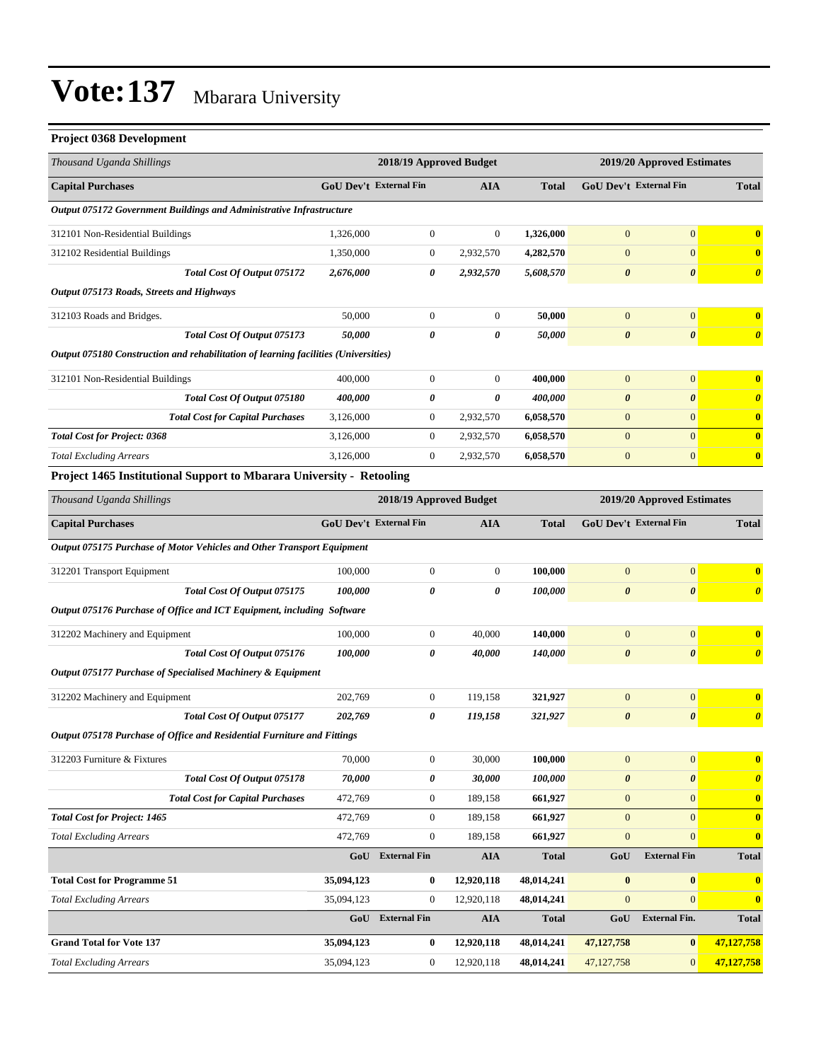#### **Project 0368 Development**

| Thousand Uganda Shillings                                                           |                               |                | 2018/19 Approved Budget | 2019/20 Approved Estimates |                               |                       |                         |
|-------------------------------------------------------------------------------------|-------------------------------|----------------|-------------------------|----------------------------|-------------------------------|-----------------------|-------------------------|
| <b>Capital Purchases</b>                                                            | <b>GoU Dev't External Fin</b> |                | <b>AIA</b>              | <b>Total</b>               | <b>GoU Dev't External Fin</b> |                       | <b>Total</b>            |
| Output 075172 Government Buildings and Administrative Infrastructure                |                               |                |                         |                            |                               |                       |                         |
| 312101 Non-Residential Buildings                                                    | 1,326,000                     | $\mathbf{0}$   | $\overline{0}$          | 1,326,000                  | $\overline{0}$                | $\overline{0}$        | $\bf{0}$                |
| 312102 Residential Buildings                                                        | 1,350,000                     | $\Omega$       | 2,932,570               | 4,282,570                  | $\mathbf{0}$                  | $\mathbf{0}$          | $\mathbf{0}$            |
| Total Cost Of Output 075172                                                         | 2,676,000                     | 0              | 2,932,570               | 5,608,570                  | $\boldsymbol{\theta}$         | $\boldsymbol{\theta}$ | $\boldsymbol{\theta}$   |
| Output 075173 Roads, Streets and Highways                                           |                               |                |                         |                            |                               |                       |                         |
| 312103 Roads and Bridges.                                                           | 50,000                        | $\mathbf{0}$   | $\Omega$                | 50,000                     | $\mathbf{0}$                  | $\overline{0}$        | $\mathbf{0}$            |
| Total Cost Of Output 075173                                                         | 50,000                        | 0              | 0                       | 50,000                     | $\boldsymbol{\theta}$         | $\boldsymbol{\theta}$ | $\boldsymbol{\theta}$   |
| Output 075180 Construction and rehabilitation of learning facilities (Universities) |                               |                |                         |                            |                               |                       |                         |
| 312101 Non-Residential Buildings                                                    | 400,000                       | $\mathbf{0}$   | $\overline{0}$          | 400,000                    | $\mathbf{0}$                  | $\overline{0}$        | $\bf{0}$                |
| Total Cost Of Output 075180                                                         | 400,000                       | 0              | 0                       | 400,000                    | $\boldsymbol{\theta}$         | $\boldsymbol{\theta}$ | $\boldsymbol{\theta}$   |
| <b>Total Cost for Capital Purchases</b>                                             | 3,126,000                     | $\overline{0}$ | 2,932,570               | 6,058,570                  | $\mathbf{0}$                  | $\overline{0}$        | $\bf{0}$                |
| <b>Total Cost for Project: 0368</b>                                                 | 3,126,000                     | $\Omega$       | 2,932,570               | 6,058,570                  | $\Omega$                      | $\Omega$              | $\overline{\mathbf{0}}$ |
| <b>Total Excluding Arrears</b>                                                      | 3,126,000                     | $\mathbf{0}$   | 2,932,570               | 6,058,570                  | $\mathbf{0}$                  | $\overline{0}$        | $\bf{0}$                |

#### **Project 1465 Institutional Support to Mbarara University - Retooling**

| Thousand Uganda Shillings                                               | 2018/19 Approved Budget       |                         |                | 2019/20 Approved Estimates |                               |                       |                         |
|-------------------------------------------------------------------------|-------------------------------|-------------------------|----------------|----------------------------|-------------------------------|-----------------------|-------------------------|
| <b>Capital Purchases</b>                                                | <b>GoU Dev't External Fin</b> |                         | <b>AIA</b>     | <b>Total</b>               | <b>GoU Dev't External Fin</b> |                       | <b>Total</b>            |
| Output 075175 Purchase of Motor Vehicles and Other Transport Equipment  |                               |                         |                |                            |                               |                       |                         |
| 312201 Transport Equipment                                              | 100,000                       | $\boldsymbol{0}$        | $\overline{0}$ | 100,000                    | $\overline{0}$                | $\overline{0}$        | $\mathbf{0}$            |
| <b>Total Cost Of Output 075175</b>                                      | 100,000                       | 0                       | 0              | 100,000                    | $\boldsymbol{\theta}$         | $\boldsymbol{\theta}$ | $\boldsymbol{\theta}$   |
| Output 075176 Purchase of Office and ICT Equipment, including Software  |                               |                         |                |                            |                               |                       |                         |
| 312202 Machinery and Equipment                                          | 100,000                       | $\mathbf{0}$            | 40,000         | 140,000                    | $\overline{0}$                | $\mathbf{0}$          | $\overline{\mathbf{0}}$ |
| <b>Total Cost Of Output 075176</b>                                      | 100,000                       | 0                       | 40,000         | 140,000                    | $\boldsymbol{\theta}$         | $\boldsymbol{\theta}$ | $\boldsymbol{\theta}$   |
| Output 075177 Purchase of Specialised Machinery & Equipment             |                               |                         |                |                            |                               |                       |                         |
| 312202 Machinery and Equipment                                          | 202,769                       | $\mathbf{0}$            | 119,158        | 321,927                    | $\mathbf{0}$                  | $\mathbf{0}$          | $\overline{\mathbf{0}}$ |
| Total Cost Of Output 075177                                             | 202,769                       | 0                       | 119,158        | 321,927                    | $\boldsymbol{\theta}$         | $\boldsymbol{\theta}$ | $\boldsymbol{\theta}$   |
| Output 075178 Purchase of Office and Residential Furniture and Fittings |                               |                         |                |                            |                               |                       |                         |
| 312203 Furniture & Fixtures                                             | 70,000                        | $\boldsymbol{0}$        | 30,000         | 100,000                    | $\mathbf{0}$                  | $\overline{0}$        | $\overline{\mathbf{0}}$ |
| Total Cost Of Output 075178                                             | 70,000                        | 0                       | 30,000         | 100,000                    | $\boldsymbol{\theta}$         | $\boldsymbol{\theta}$ | $\boldsymbol{\theta}$   |
| <b>Total Cost for Capital Purchases</b>                                 | 472,769                       | $\boldsymbol{0}$        | 189,158        | 661,927                    | $\mathbf{0}$                  | $\overline{0}$        | $\bf{0}$                |
| <b>Total Cost for Project: 1465</b>                                     | 472.769                       | $\mathbf{0}$            | 189,158        | 661,927                    | $\mathbf{0}$                  | $\overline{0}$        | $\mathbf{0}$            |
| <b>Total Excluding Arrears</b>                                          | 472,769                       | $\overline{0}$          | 189,158        | 661,927                    | $\overline{0}$                | $\overline{0}$        | $\bf{0}$                |
|                                                                         |                               | <b>GoU</b> External Fin | <b>AIA</b>     | <b>Total</b>               | GoU                           | <b>External Fin</b>   | <b>Total</b>            |
| <b>Total Cost for Programme 51</b>                                      | 35,094,123                    | 0                       | 12,920,118     | 48,014,241                 | $\bf{0}$                      | $\bf{0}$              | $\bf{0}$                |
| <b>Total Excluding Arrears</b>                                          | 35,094,123                    | $\mathbf{0}$            | 12,920,118     | 48,014,241                 | $\boldsymbol{0}$              | $\Omega$              | $\bf{0}$                |
|                                                                         | GoU                           | <b>External Fin</b>     | <b>AIA</b>     | <b>Total</b>               | GoU                           | <b>External Fin.</b>  | <b>Total</b>            |
| <b>Grand Total for Vote 137</b>                                         | 35,094,123                    | $\bf{0}$                | 12,920,118     | 48,014,241                 | 47,127,758                    | $\bf{0}$              | 47,127,758              |
| <b>Total Excluding Arrears</b>                                          | 35,094,123                    | $\boldsymbol{0}$        | 12,920,118     | 48,014,241                 | 47,127,758                    | $\mathbf{0}$          | 47,127,758              |